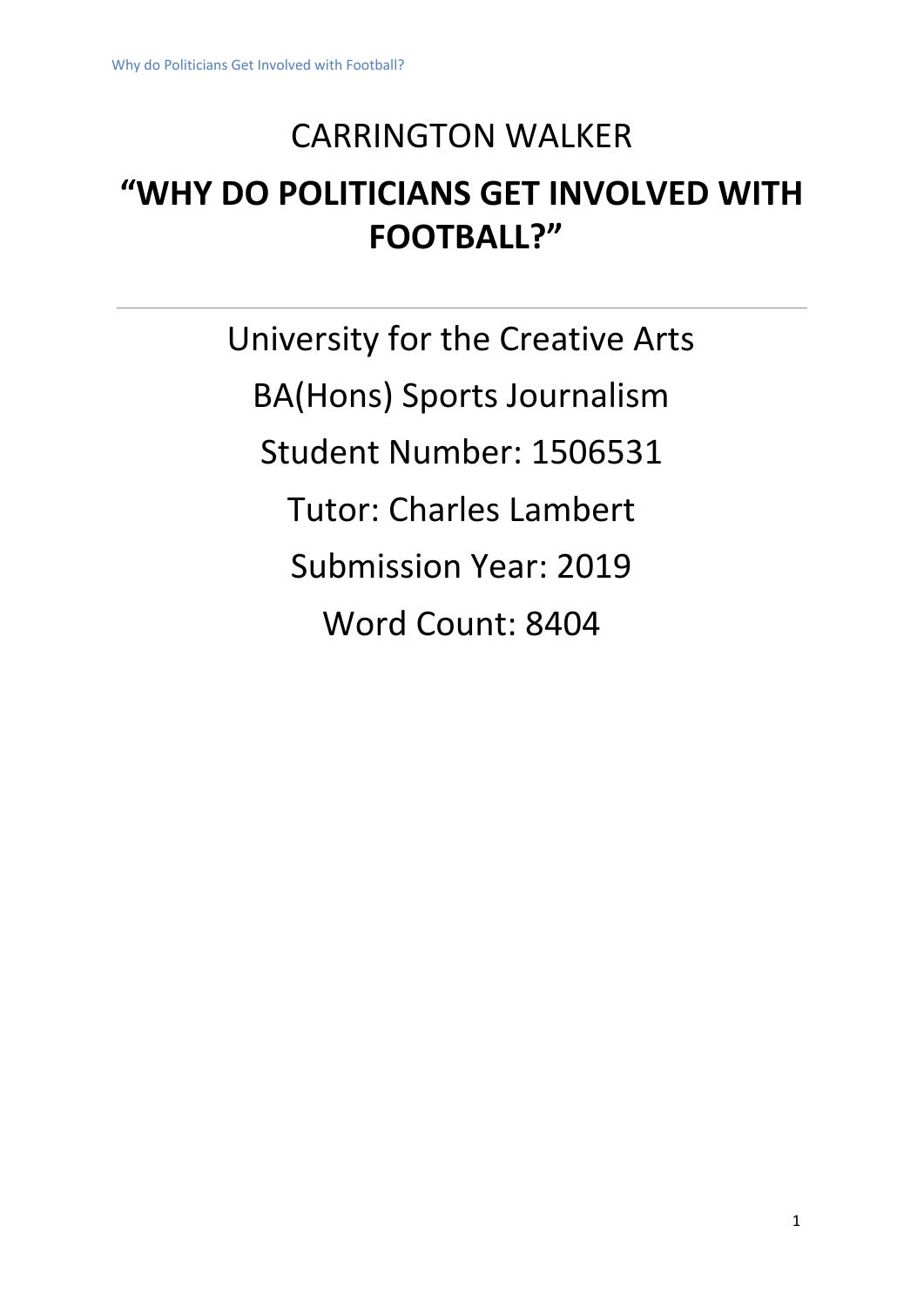## CARRINGTON WALKER

# **"WHY DO POLITICIANS GET INVOLVED WITH FOOTBALL?"**

University for the Creative Arts BA(Hons) Sports Journalism Student Number: 1506531 Tutor: Charles Lambert Submission Year: 2019 Word Count: 8404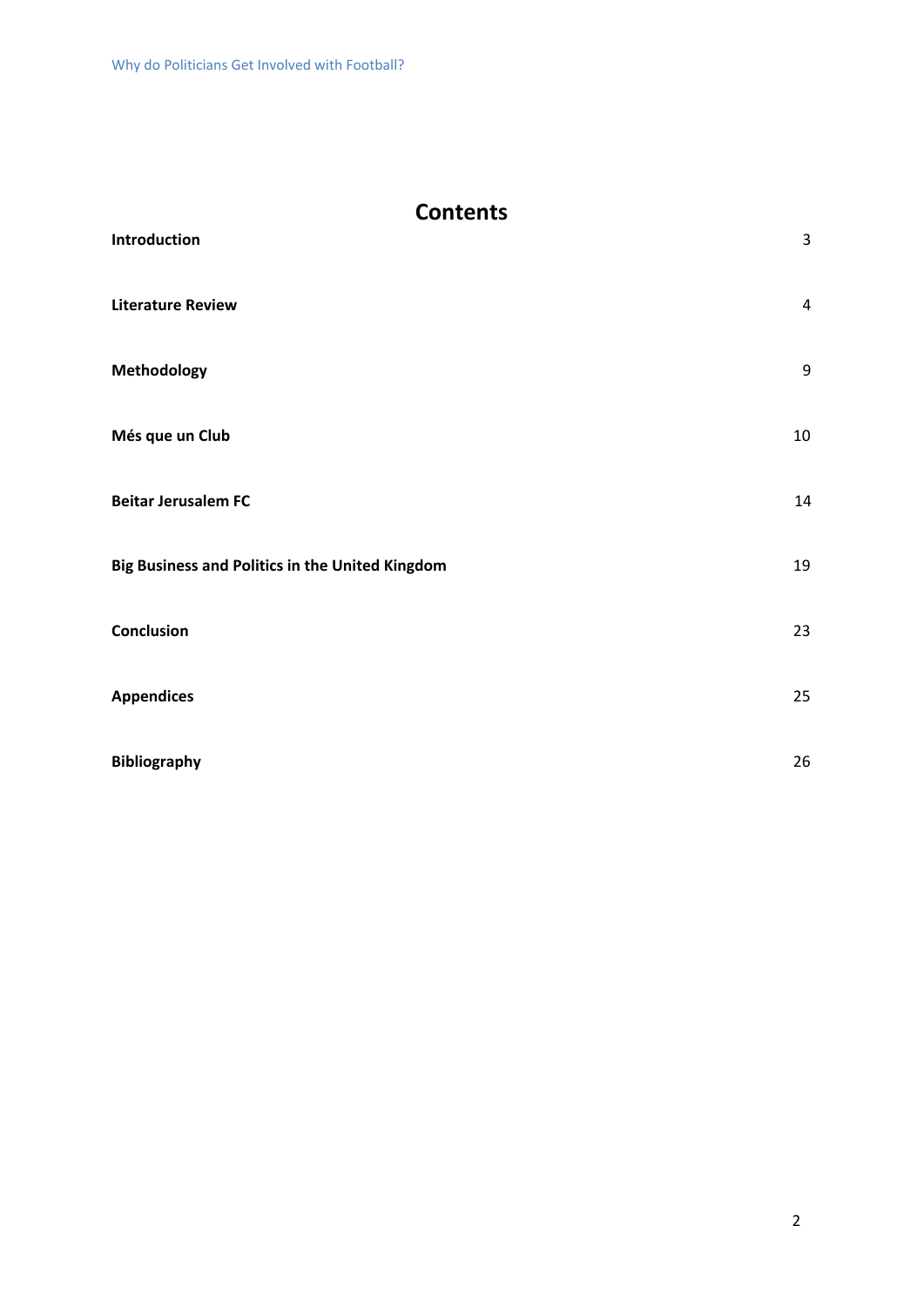## **Contents**

| Introduction                                    | 3                |
|-------------------------------------------------|------------------|
| <b>Literature Review</b>                        | $\sqrt{4}$       |
| Methodology                                     | $\boldsymbol{9}$ |
| Més que un Club                                 | 10               |
| <b>Beitar Jerusalem FC</b>                      | 14               |
| Big Business and Politics in the United Kingdom | 19               |
| Conclusion                                      | 23               |
| <b>Appendices</b>                               | 25               |
| <b>Bibliography</b>                             | 26               |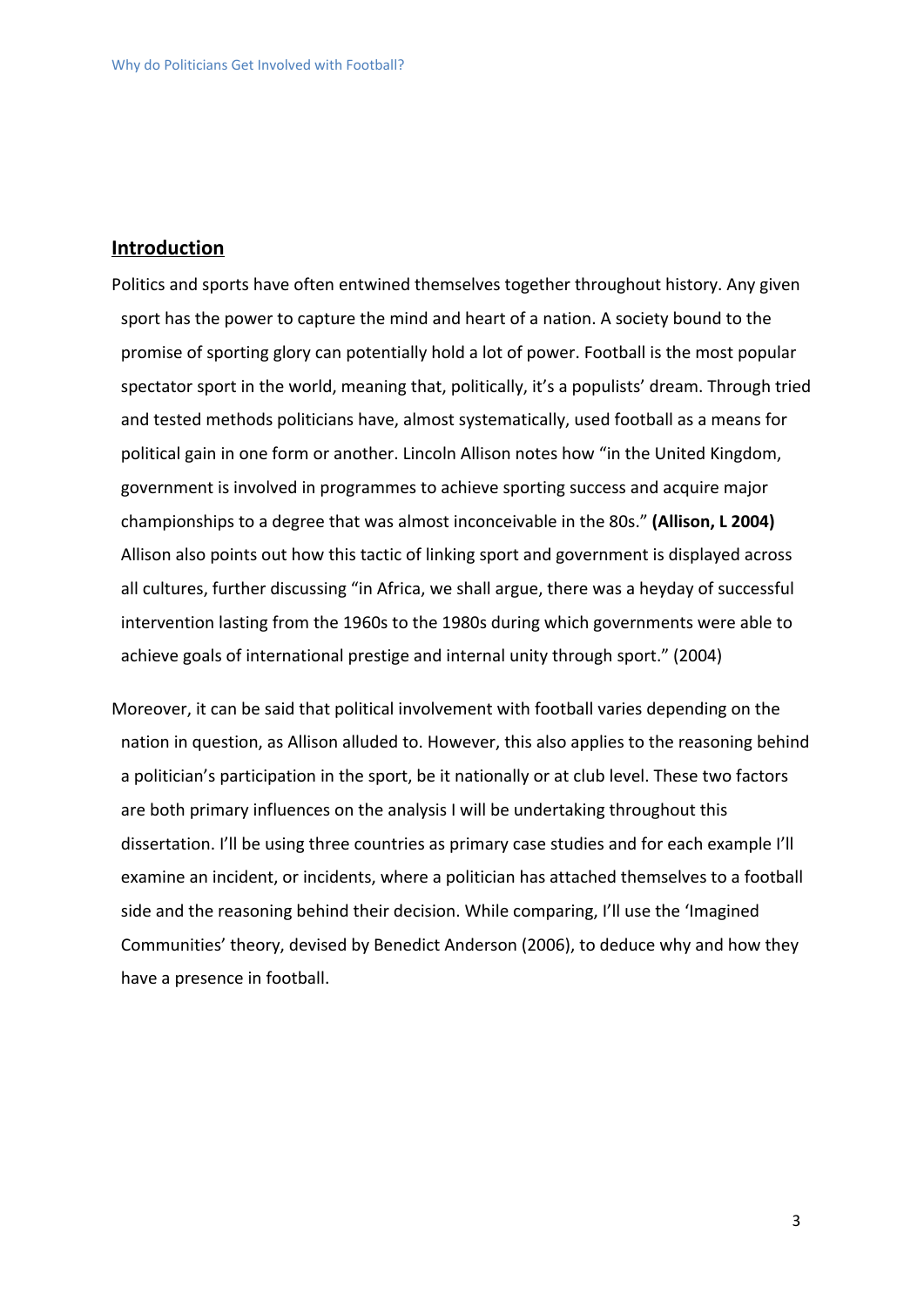#### **Introduction**

Politics and sports have often entwined themselves together throughout history. Any given sport has the power to capture the mind and heart of a nation. A society bound to the promise of sporting glory can potentially hold a lot of power. Football is the most popular spectator sport in the world, meaning that, politically, it's a populists' dream. Through tried and tested methods politicians have, almost systematically, used football as a means for political gain in one form or another. Lincoln Allison notes how "in the United Kingdom, government is involved in programmes to achieve sporting success and acquire major championships to a degree that was almost inconceivable in the 80s." **(Allison, L 2004)** Allison also points out how this tactic of linking sport and government is displayed across all cultures, further discussing "in Africa, we shall argue, there was a heyday of successful intervention lasting from the 1960s to the 1980s during which governments were able to achieve goals of international prestige and internal unity through sport." (2004)

Moreover, it can be said that political involvement with football varies depending on the nation in question, as Allison alluded to. However, this also applies to the reasoning behind a politician's participation in the sport, be it nationally or at club level. These two factors are both primary influences on the analysis I will be undertaking throughout this dissertation. I'll be using three countries as primary case studies and for each example I'll examine an incident, or incidents, where a politician has attached themselves to a football side and the reasoning behind their decision. While comparing, I'll use the 'Imagined Communities' theory, devised by Benedict Anderson (2006), to deduce why and how they have a presence in football.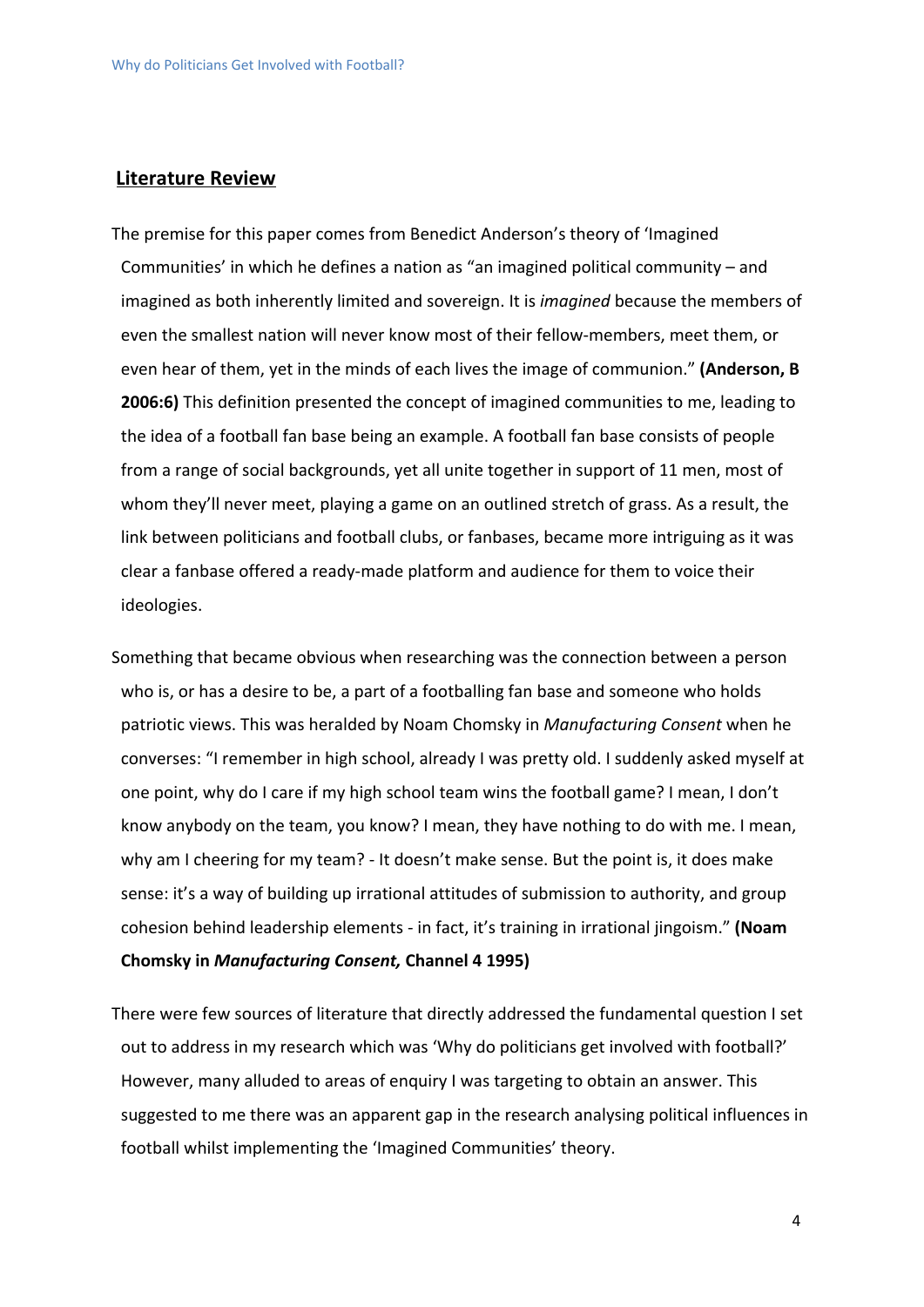#### **Literature Review**

The premise for this paper comes from Benedict Anderson's theory of 'Imagined Communities' in which he defines a nation as "an imagined political community – and imagined as both inherently limited and sovereign. It is *imagined* because the members of even the smallest nation will never know most of their fellow-members, meet them, or even hear of them, yet in the minds of each lives the image of communion." **(Anderson, B 2006:6)** This definition presented the concept of imagined communities to me, leading to the idea of a football fan base being an example. A football fan base consists of people from a range of social backgrounds, yet all unite together in support of 11 men, most of whom they'll never meet, playing a game on an outlined stretch of grass. As a result, the link between politicians and football clubs, or fanbases, became more intriguing as it was clear a fanbase offered a ready-made platform and audience for them to voice their ideologies.

Something that became obvious when researching was the connection between a person who is, or has a desire to be, a part of a footballing fan base and someone who holds patriotic views. This was heralded by Noam Chomsky in *Manufacturing Consent* when he converses: "I remember in high school, already I was pretty old. I suddenly asked myself at one point, why do I care if my high school team wins the football game? I mean, I don't know anybody on the team, you know? I mean, they have nothing to do with me. I mean, why am I cheering for my team? - It doesn't make sense. But the point is, it does make sense: it's a way of building up irrational attitudes of submission to authority, and group cohesion behind leadership elements - in fact, it's training in irrational jingoism." **(Noam Chomsky in** *Manufacturing Consent,* **Channel 4 1995)**

There were few sources of literature that directly addressed the fundamental question I set out to address in my research which was 'Why do politicians get involved with football?' However, many alluded to areas of enquiry I was targeting to obtain an answer. This suggested to me there was an apparent gap in the research analysing political influences in football whilst implementing the 'Imagined Communities' theory.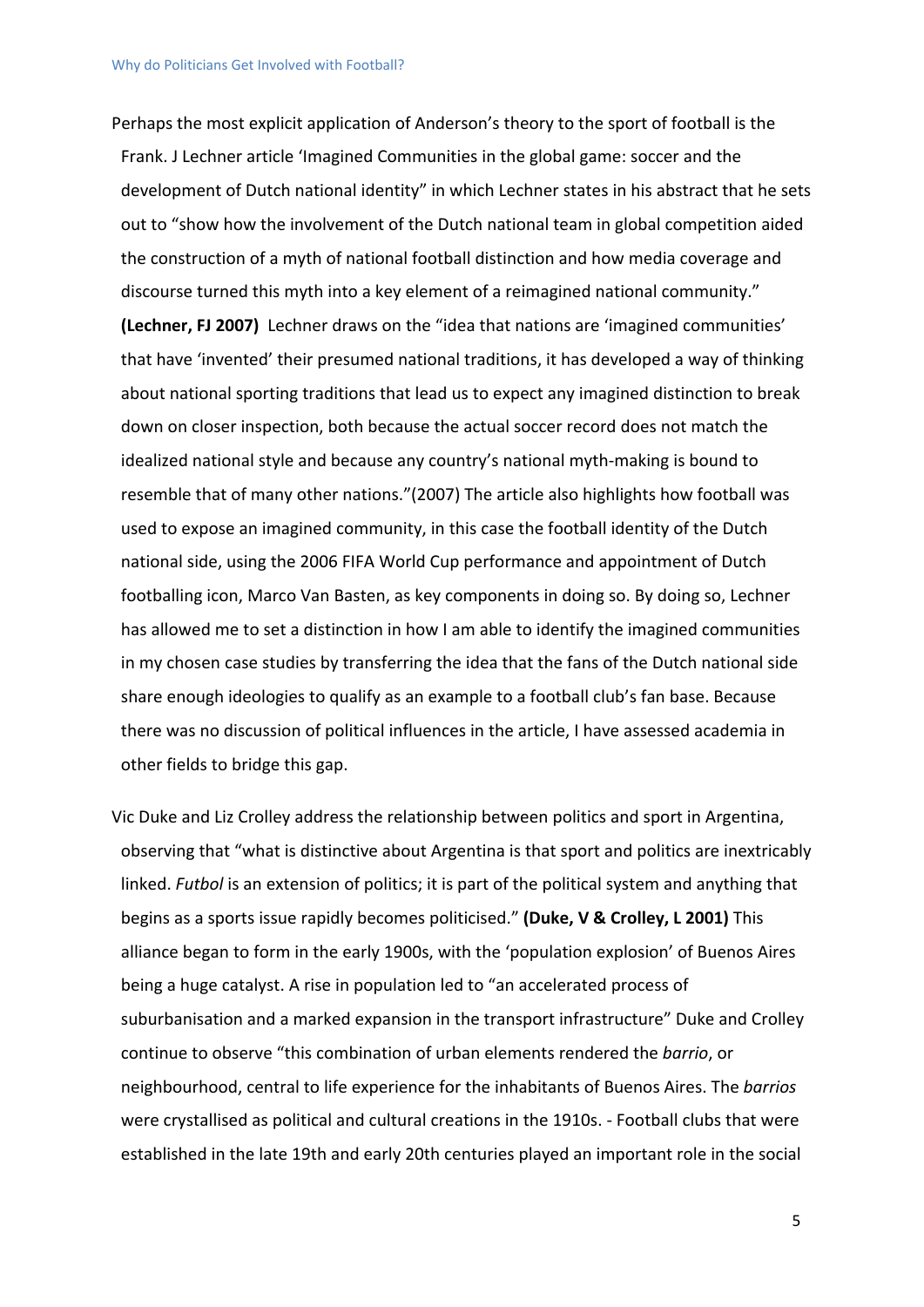Perhaps the most explicit application of Anderson's theory to the sport of football is the Frank. J Lechner article 'Imagined Communities in the global game: soccer and the development of Dutch national identity" in which Lechner states in his abstract that he sets out to "show how the involvement of the Dutch national team in global competition aided the construction of a myth of national football distinction and how media coverage and discourse turned this myth into a key element of a reimagined national community." **(Lechner, FJ 2007)** Lechner draws on the "idea that nations are 'imagined communities' that have 'invented' their presumed national traditions, it has developed a way of thinking about national sporting traditions that lead us to expect any imagined distinction to break down on closer inspection, both because the actual soccer record does not match the idealized national style and because any country's national myth-making is bound to resemble that of many other nations."(2007) The article also highlights how football was used to expose an imagined community, in this case the football identity of the Dutch national side, using the 2006 FIFA World Cup performance and appointment of Dutch footballing icon, Marco Van Basten, as key components in doing so. By doing so, Lechner has allowed me to set a distinction in how I am able to identify the imagined communities in my chosen case studies by transferring the idea that the fans of the Dutch national side share enough ideologies to qualify as an example to a football club's fan base. Because there was no discussion of political influences in the article, I have assessed academia in other fields to bridge this gap.

Vic Duke and Liz Crolley address the relationship between politics and sport in Argentina, observing that "what is distinctive about Argentina is that sport and politics are inextricably linked. *Futbol* is an extension of politics; it is part of the political system and anything that begins as a sports issue rapidly becomes politicised." **(Duke, V & Crolley, L 2001)** This alliance began to form in the early 1900s, with the 'population explosion' of Buenos Aires being a huge catalyst. A rise in population led to "an accelerated process of suburbanisation and a marked expansion in the transport infrastructure" Duke and Crolley continue to observe "this combination of urban elements rendered the *barrio*, or neighbourhood, central to life experience for the inhabitants of Buenos Aires. The *barrios* were crystallised as political and cultural creations in the 1910s. - Football clubs that were established in the late 19th and early 20th centuries played an important role in the social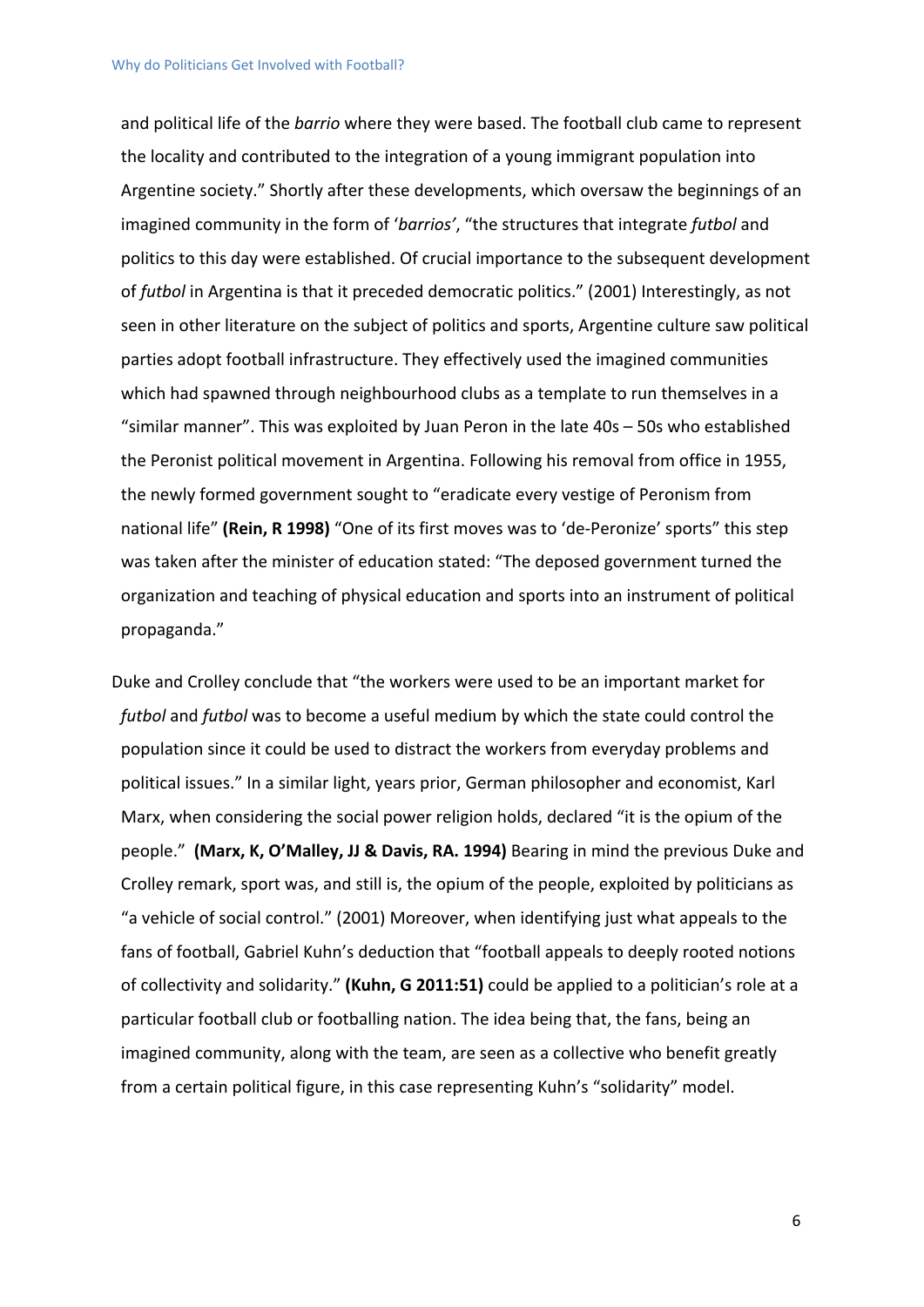and political life of the *barrio* where they were based. The football club came to represent the locality and contributed to the integration of a young immigrant population into Argentine society." Shortly after these developments, which oversaw the beginnings of an imagined community in the form of '*barrios'*, "the structures that integrate *futbol* and politics to this day were established. Of crucial importance to the subsequent development of *futbol* in Argentina is that it preceded democratic politics." (2001) Interestingly, as not seen in other literature on the subject of politics and sports, Argentine culture saw political parties adopt football infrastructure. They effectively used the imagined communities which had spawned through neighbourhood clubs as a template to run themselves in a "similar manner". This was exploited by Juan Peron in the late 40s – 50s who established the Peronist political movement in Argentina. Following his removal from office in 1955, the newly formed government sought to "eradicate every vestige of Peronism from national life" **(Rein, R 1998)** "One of its first moves was to 'de-Peronize' sports" this step was taken after the minister of education stated: "The deposed government turned the organization and teaching of physical education and sports into an instrument of political propaganda."

Duke and Crolley conclude that "the workers were used to be an important market for *futbol* and *futbol* was to become a useful medium by which the state could control the population since it could be used to distract the workers from everyday problems and political issues." In a similar light, years prior, German philosopher and economist, Karl Marx, when considering the social power religion holds, declared "it is the opium of the people." **(Marx, K, O'Malley, JJ & Davis, RA. 1994)** Bearing in mind the previous Duke and Crolley remark, sport was, and still is, the opium of the people, exploited by politicians as "a vehicle of social control." (2001) Moreover, when identifying just what appeals to the fans of football, Gabriel Kuhn's deduction that "football appeals to deeply rooted notions of collectivity and solidarity." **(Kuhn, G 2011:51)** could be applied to a politician's role at a particular football club or footballing nation. The idea being that, the fans, being an imagined community, along with the team, are seen as a collective who benefit greatly from a certain political figure, in this case representing Kuhn's "solidarity" model.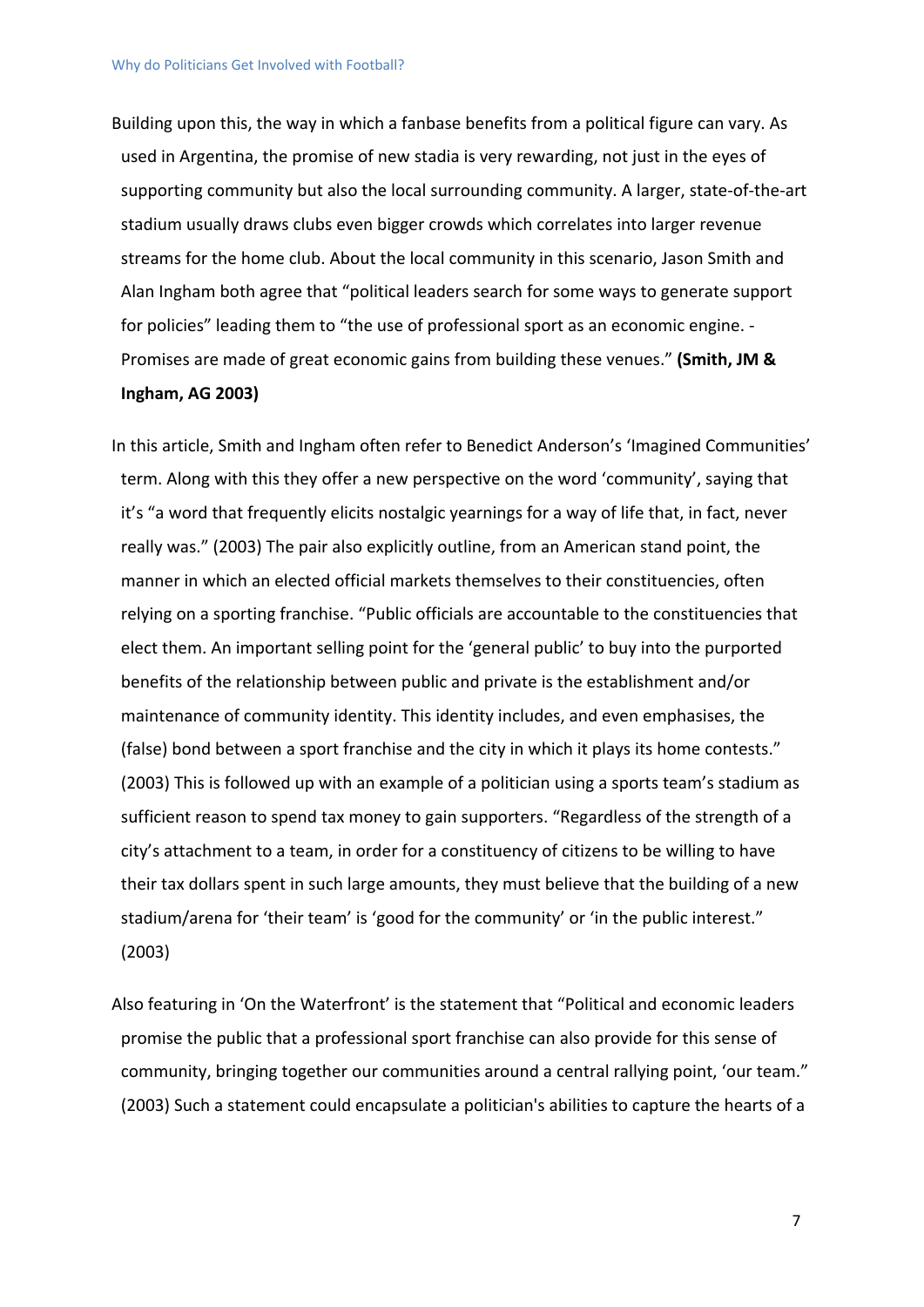Building upon this, the way in which a fanbase benefits from a political figure can vary. As used in Argentina, the promise of new stadia is very rewarding, not just in the eyes of supporting community but also the local surrounding community. A larger, state-of-the-art stadium usually draws clubs even bigger crowds which correlates into larger revenue streams for the home club. About the local community in this scenario, Jason Smith and Alan Ingham both agree that "political leaders search for some ways to generate support for policies" leading them to "the use of professional sport as an economic engine. - Promises are made of great economic gains from building these venues." **(Smith, JM & Ingham, AG 2003)**

In this article, Smith and Ingham often refer to Benedict Anderson's 'Imagined Communities' term. Along with this they offer a new perspective on the word 'community', saying that it's "a word that frequently elicits nostalgic yearnings for a way of life that, in fact, never really was." (2003) The pair also explicitly outline, from an American stand point, the manner in which an elected official markets themselves to their constituencies, often relying on a sporting franchise. "Public officials are accountable to the constituencies that elect them. An important selling point for the 'general public' to buy into the purported benefits of the relationship between public and private is the establishment and/or maintenance of community identity. This identity includes, and even emphasises, the (false) bond between a sport franchise and the city in which it plays its home contests." (2003) This is followed up with an example of a politician using a sports team's stadium as sufficient reason to spend tax money to gain supporters. "Regardless of the strength of a city's attachment to a team, in order for a constituency of citizens to be willing to have their tax dollars spent in such large amounts, they must believe that the building of a new stadium/arena for 'their team' is 'good for the community' or 'in the public interest." (2003)

Also featuring in 'On the Waterfront' is the statement that "Political and economic leaders promise the public that a professional sport franchise can also provide for this sense of community, bringing together our communities around a central rallying point, 'our team." (2003) Such a statement could encapsulate a politician's abilities to capture the hearts of a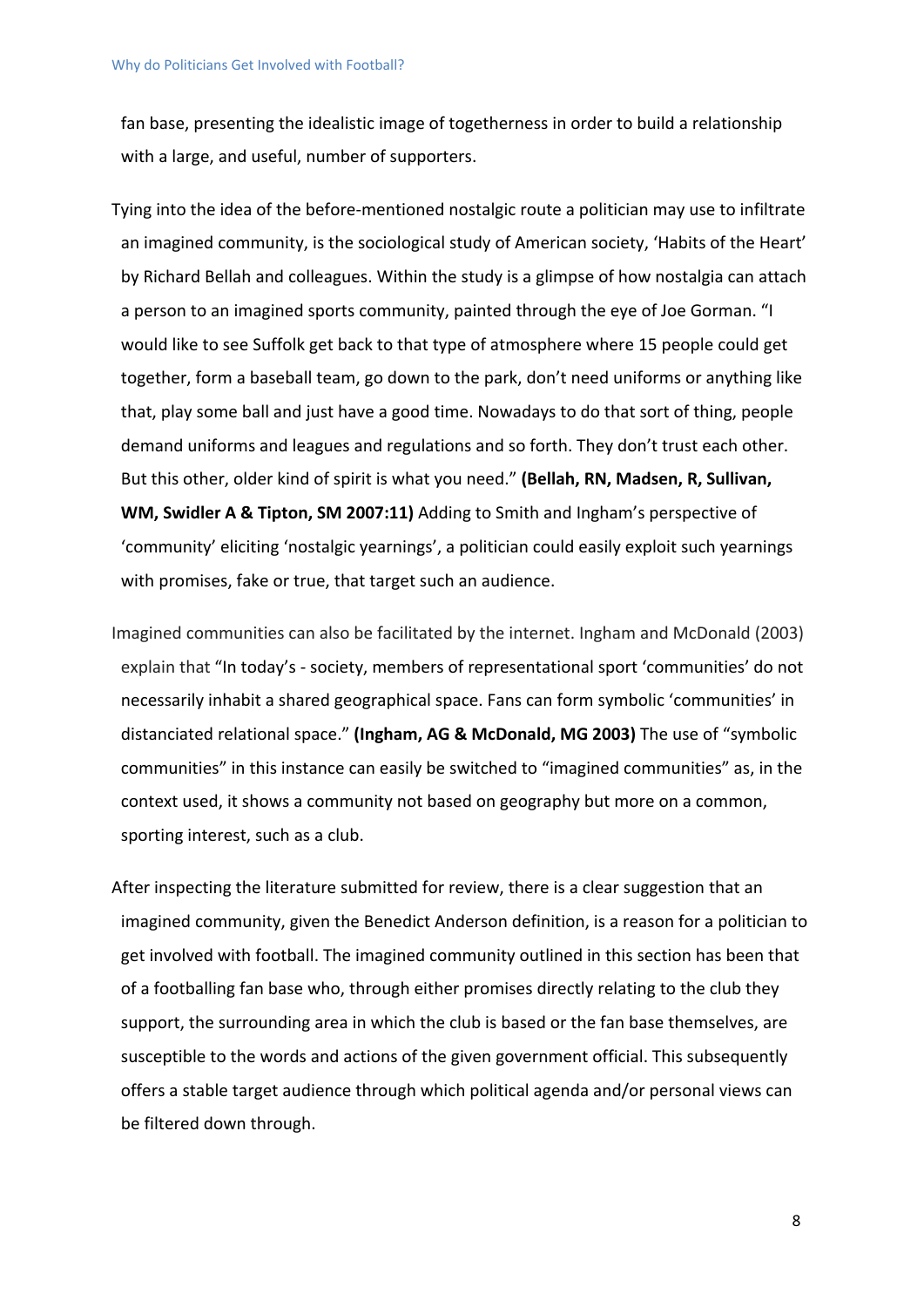fan base, presenting the idealistic image of togetherness in order to build a relationship with a large, and useful, number of supporters.

Tying into the idea of the before-mentioned nostalgic route a politician may use to infiltrate an imagined community, is the sociological study of American society, 'Habits of the Heart' by Richard Bellah and colleagues. Within the study is a glimpse of how nostalgia can attach a person to an imagined sports community, painted through the eye of Joe Gorman. "I would like to see Suffolk get back to that type of atmosphere where 15 people could get together, form a baseball team, go down to the park, don't need uniforms or anything like that, play some ball and just have a good time. Nowadays to do that sort of thing, people demand uniforms and leagues and regulations and so forth. They don't trust each other. But this other, older kind of spirit is what you need." **(Bellah, RN, Madsen, R, Sullivan, WM, Swidler A & Tipton, SM 2007:11)** Adding to Smith and Ingham's perspective of 'community' eliciting 'nostalgic yearnings', a politician could easily exploit such yearnings with promises, fake or true, that target such an audience.

Imagined communities can also be facilitated by the internet. Ingham and McDonald (2003) explain that "In today's - society, members of representational sport 'communities' do not necessarily inhabit a shared geographical space. Fans can form symbolic 'communities' in distanciated relational space." **(Ingham, AG & McDonald, MG 2003)** The use of "symbolic communities" in this instance can easily be switched to "imagined communities" as, in the context used, it shows a community not based on geography but more on a common, sporting interest, such as a club.

After inspecting the literature submitted for review, there is a clear suggestion that an imagined community, given the Benedict Anderson definition, is a reason for a politician to get involved with football. The imagined community outlined in this section has been that of a footballing fan base who, through either promises directly relating to the club they support, the surrounding area in which the club is based or the fan base themselves, are susceptible to the words and actions of the given government official. This subsequently offers a stable target audience through which political agenda and/or personal views can be filtered down through.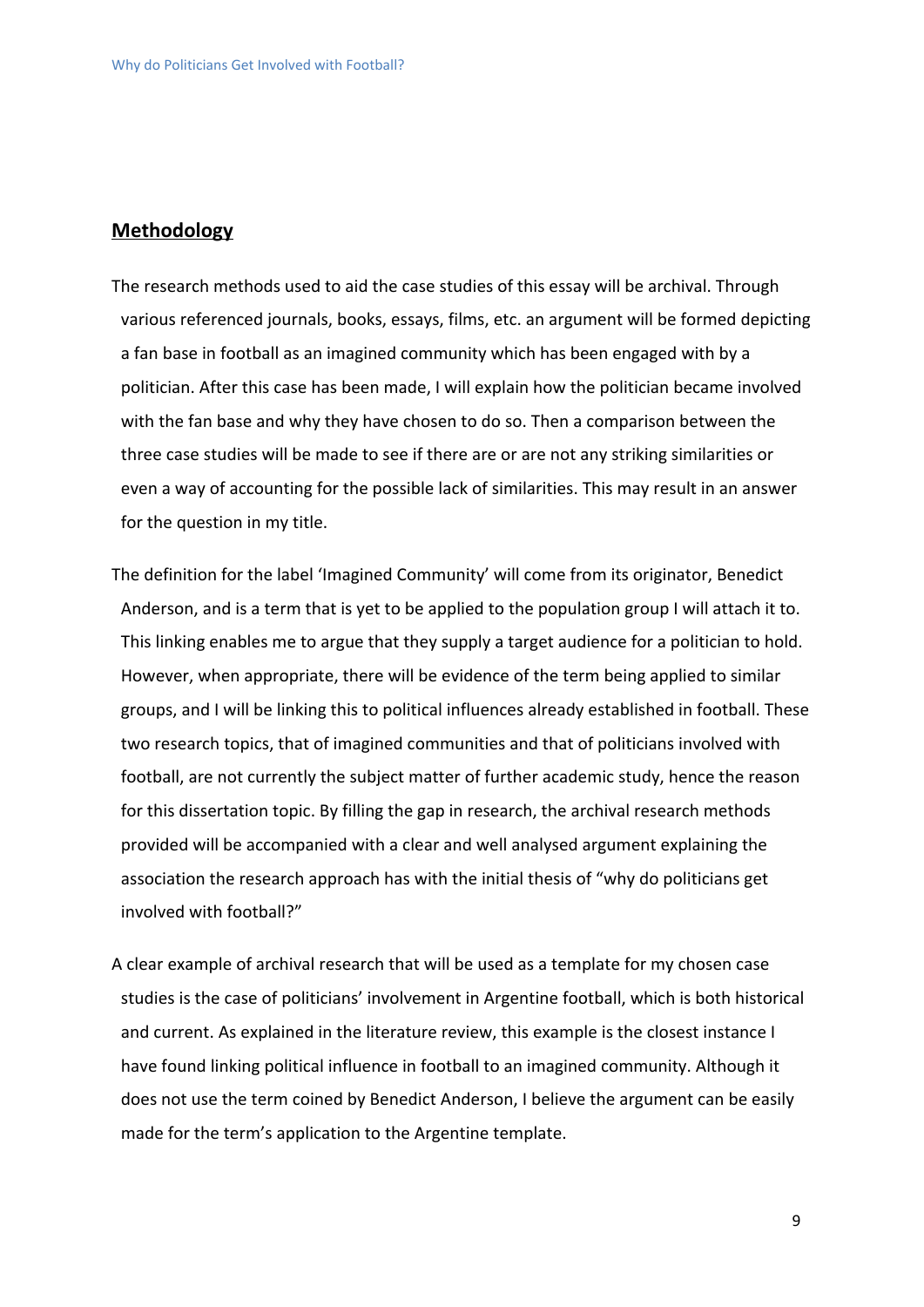#### **Methodology**

The research methods used to aid the case studies of this essay will be archival. Through various referenced journals, books, essays, films, etc. an argument will be formed depicting a fan base in football as an imagined community which has been engaged with by a politician. After this case has been made, I will explain how the politician became involved with the fan base and why they have chosen to do so. Then a comparison between the three case studies will be made to see if there are or are not any striking similarities or even a way of accounting for the possible lack of similarities. This may result in an answer for the question in my title.

The definition for the label 'Imagined Community' will come from its originator, Benedict Anderson, and is a term that is yet to be applied to the population group I will attach it to. This linking enables me to argue that they supply a target audience for a politician to hold. However, when appropriate, there will be evidence of the term being applied to similar groups, and I will be linking this to political influences already established in football. These two research topics, that of imagined communities and that of politicians involved with football, are not currently the subject matter of further academic study, hence the reason for this dissertation topic. By filling the gap in research, the archival research methods provided will be accompanied with a clear and well analysed argument explaining the association the research approach has with the initial thesis of "why do politicians get involved with football?"

A clear example of archival research that will be used as a template for my chosen case studies is the case of politicians' involvement in Argentine football, which is both historical and current. As explained in the literature review, this example is the closest instance I have found linking political influence in football to an imagined community. Although it does not use the term coined by Benedict Anderson, I believe the argument can be easily made for the term's application to the Argentine template.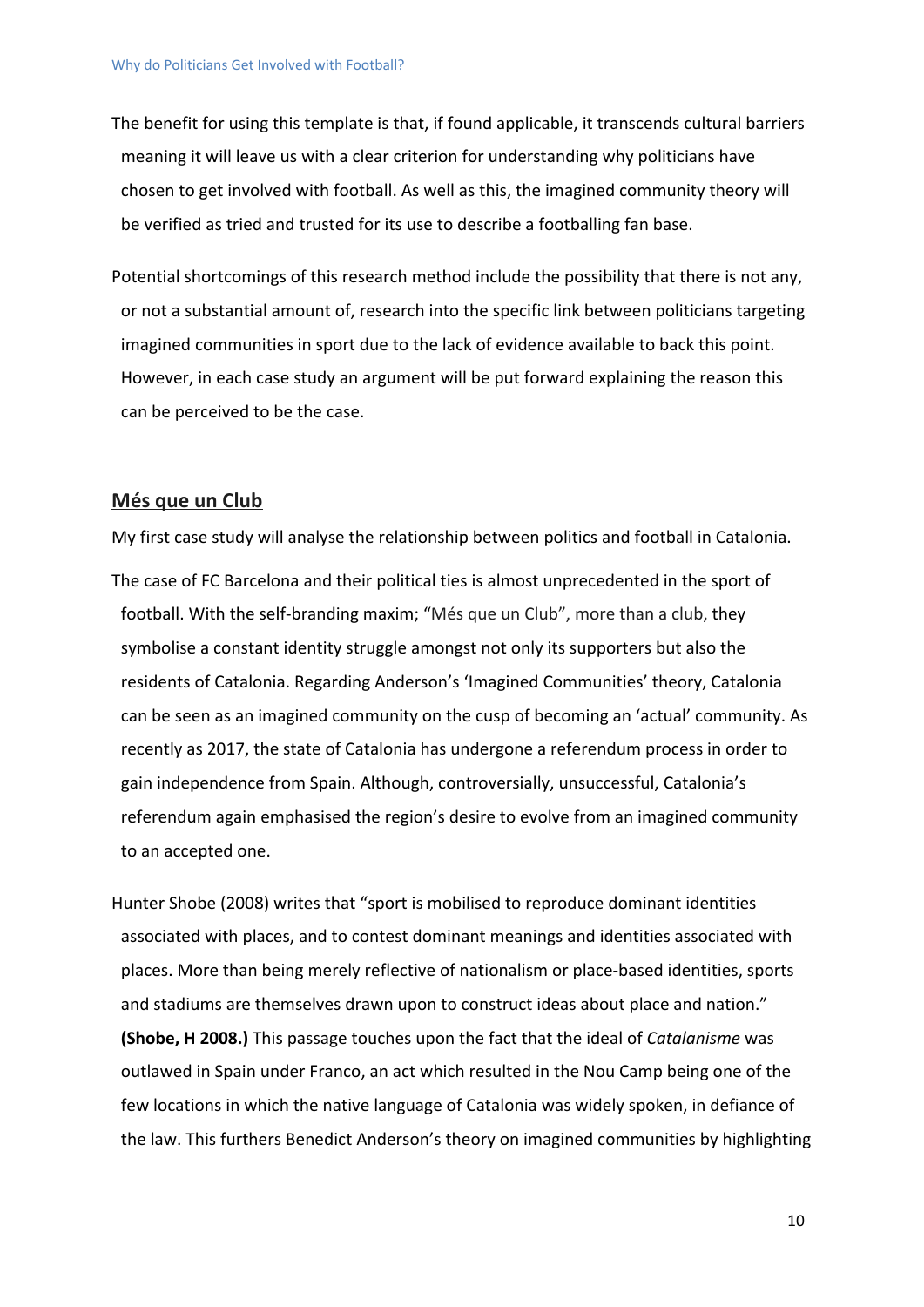The benefit for using this template is that, if found applicable, it transcends cultural barriers meaning it will leave us with a clear criterion for understanding why politicians have chosen to get involved with football. As well as this, the imagined community theory will be verified as tried and trusted for its use to describe a footballing fan base.

Potential shortcomings of this research method include the possibility that there is not any, or not a substantial amount of, research into the specific link between politicians targeting imagined communities in sport due to the lack of evidence available to back this point. However, in each case study an argument will be put forward explaining the reason this can be perceived to be the case.

#### **Més que un Club**

My first case study will analyse the relationship between politics and football in Catalonia. The case of FC Barcelona and their political ties is almost unprecedented in the sport of football. With the self-branding maxim; "Més que un Club", more than a club, they symbolise a constant identity struggle amongst not only its supporters but also the residents of Catalonia. Regarding Anderson's 'Imagined Communities' theory, Catalonia can be seen as an imagined community on the cusp of becoming an 'actual' community. As recently as 2017, the state of Catalonia has undergone a referendum process in order to gain independence from Spain. Although, controversially, unsuccessful, Catalonia's referendum again emphasised the region's desire to evolve from an imagined community to an accepted one.

Hunter Shobe (2008) writes that "sport is mobilised to reproduce dominant identities associated with places, and to contest dominant meanings and identities associated with places. More than being merely reflective of nationalism or place-based identities, sports and stadiums are themselves drawn upon to construct ideas about place and nation." **(Shobe, H 2008.)** This passage touches upon the fact that the ideal of *Catalanisme* was outlawed in Spain under Franco, an act which resulted in the Nou Camp being one of the few locations in which the native language of Catalonia was widely spoken, in defiance of the law. This furthers Benedict Anderson's theory on imagined communities by highlighting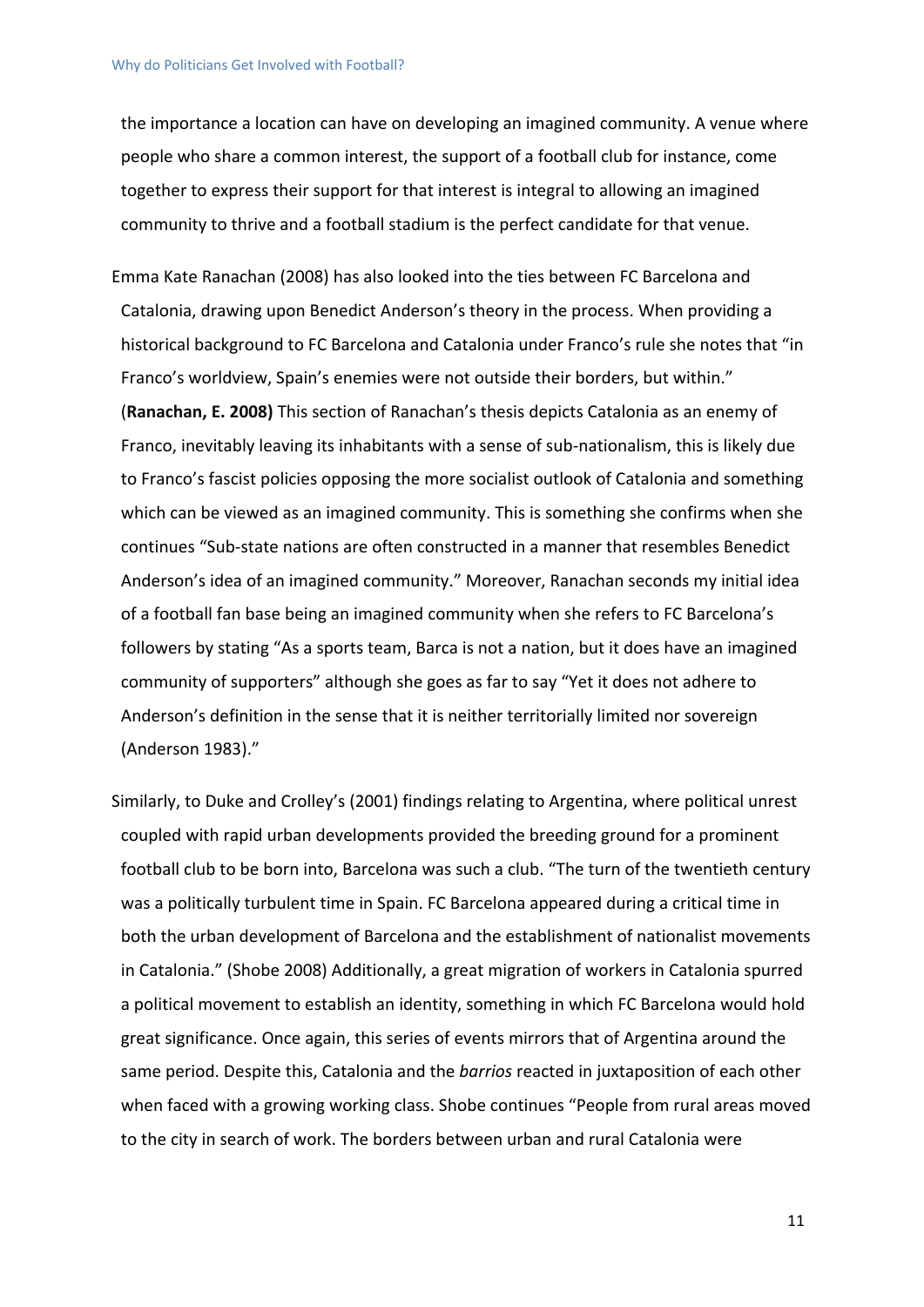the importance a location can have on developing an imagined community. A venue where people who share a common interest, the support of a football club for instance, come together to express their support for that interest is integral to allowing an imagined community to thrive and a football stadium is the perfect candidate for that venue.

Emma Kate Ranachan (2008) has also looked into the ties between FC Barcelona and Catalonia, drawing upon Benedict Anderson's theory in the process. When providing a historical background to FC Barcelona and Catalonia under Franco's rule she notes that "in Franco's worldview, Spain's enemies were not outside their borders, but within." (**Ranachan, E. 2008)** This section of Ranachan's thesis depicts Catalonia as an enemy of Franco, inevitably leaving its inhabitants with a sense of sub-nationalism, this is likely due to Franco's fascist policies opposing the more socialist outlook of Catalonia and something which can be viewed as an imagined community. This is something she confirms when she continues "Sub-state nations are often constructed in a manner that resembles Benedict Anderson's idea of an imagined community." Moreover, Ranachan seconds my initial idea of a football fan base being an imagined community when she refers to FC Barcelona's followers by stating "As a sports team, Barca is not a nation, but it does have an imagined community of supporters" although she goes as far to say "Yet it does not adhere to Anderson's definition in the sense that it is neither territorially limited nor sovereign (Anderson 1983)."

Similarly, to Duke and Crolley's (2001) findings relating to Argentina, where political unrest coupled with rapid urban developments provided the breeding ground for a prominent football club to be born into, Barcelona was such a club. "The turn of the twentieth century was a politically turbulent time in Spain. FC Barcelona appeared during a critical time in both the urban development of Barcelona and the establishment of nationalist movements in Catalonia." (Shobe 2008) Additionally, a great migration of workers in Catalonia spurred a political movement to establish an identity, something in which FC Barcelona would hold great significance. Once again, this series of events mirrors that of Argentina around the same period. Despite this, Catalonia and the *barrios* reacted in juxtaposition of each other when faced with a growing working class. Shobe continues "People from rural areas moved to the city in search of work. The borders between urban and rural Catalonia were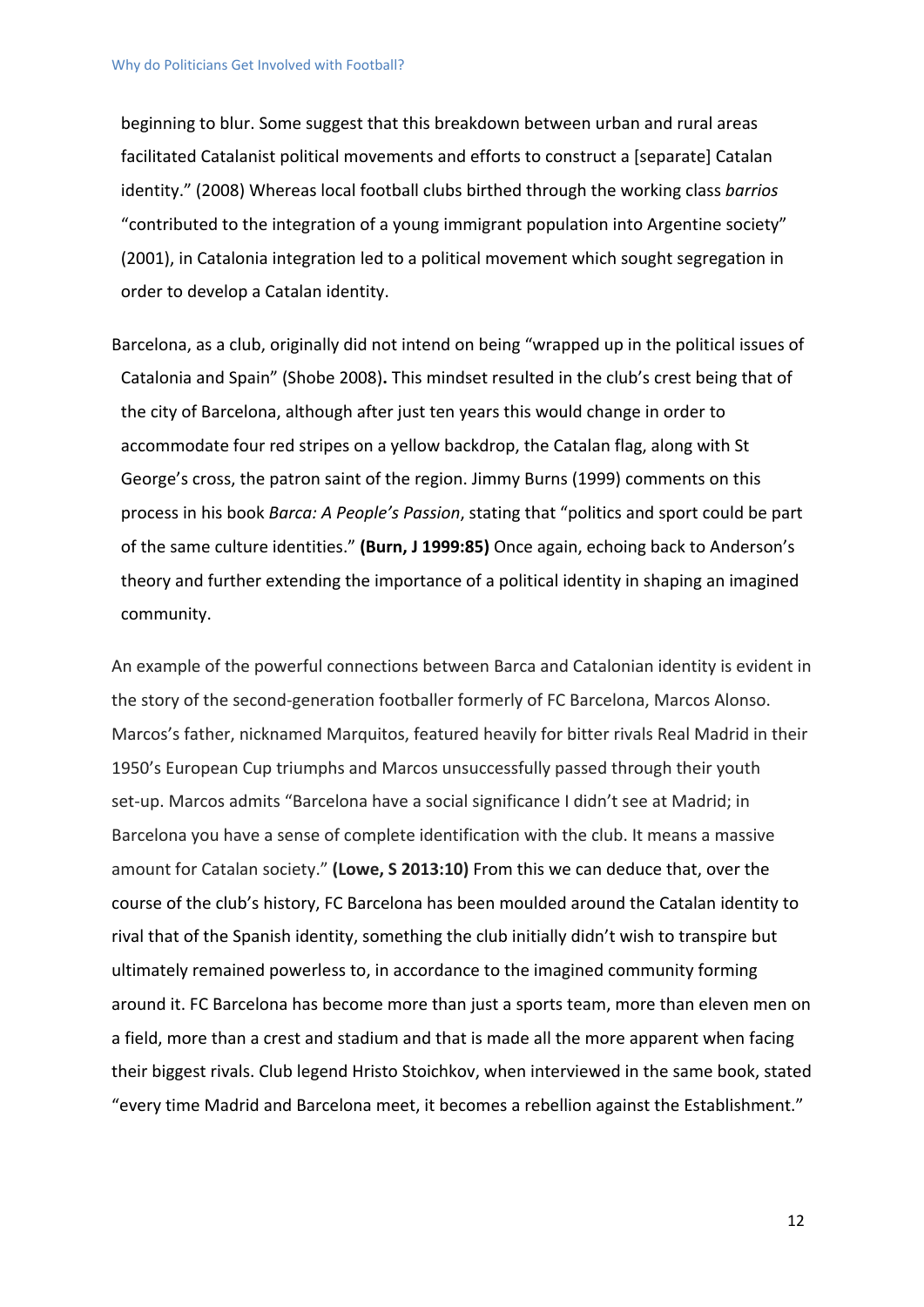beginning to blur. Some suggest that this breakdown between urban and rural areas facilitated Catalanist political movements and efforts to construct a [separate] Catalan identity." (2008) Whereas local football clubs birthed through the working class *barrios* "contributed to the integration of a young immigrant population into Argentine society" (2001), in Catalonia integration led to a political movement which sought segregation in order to develop a Catalan identity.

Barcelona, as a club, originally did not intend on being "wrapped up in the political issues of Catalonia and Spain" (Shobe 2008)**.** This mindset resulted in the club's crest being that of the city of Barcelona, although after just ten years this would change in order to accommodate four red stripes on a yellow backdrop, the Catalan flag, along with St George's cross, the patron saint of the region. Jimmy Burns (1999) comments on this process in his book *Barca: A People's Passion*, stating that "politics and sport could be part of the same culture identities." **(Burn, J 1999:85)** Once again, echoing back to Anderson's theory and further extending the importance of a political identity in shaping an imagined community.

An example of the powerful connections between Barca and Catalonian identity is evident in the story of the second-generation footballer formerly of FC Barcelona, Marcos Alonso. Marcos's father, nicknamed Marquitos, featured heavily for bitter rivals Real Madrid in their 1950's European Cup triumphs and Marcos unsuccessfully passed through their youth set-up. Marcos admits "Barcelona have a social significance I didn't see at Madrid; in Barcelona you have a sense of complete identification with the club. It means a massive amount for Catalan society." **(Lowe, S 2013:10)** From this we can deduce that, over the course of the club's history, FC Barcelona has been moulded around the Catalan identity to rival that of the Spanish identity, something the club initially didn't wish to transpire but ultimately remained powerless to, in accordance to the imagined community forming around it. FC Barcelona has become more than just a sports team, more than eleven men on a field, more than a crest and stadium and that is made all the more apparent when facing their biggest rivals. Club legend Hristo Stoichkov, when interviewed in the same book, stated "every time Madrid and Barcelona meet, it becomes a rebellion against the Establishment."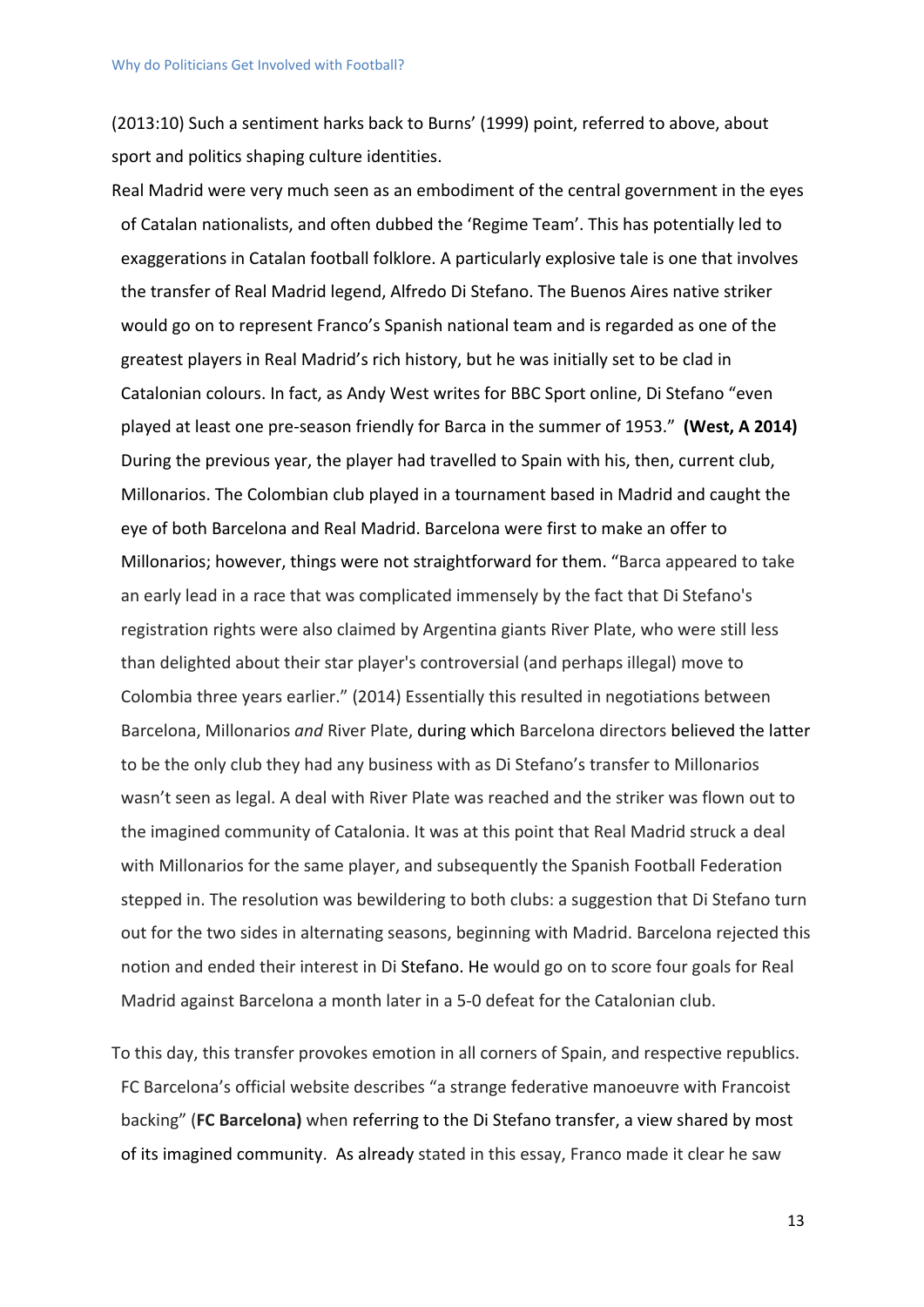(2013:10) Such a sentiment harks back to Burns' (1999) point, referred to above, about sport and politics shaping culture identities.

Real Madrid were very much seen as an embodiment of the central government in the eyes of Catalan nationalists, and often dubbed the 'Regime Team'. This has potentially led to exaggerations in Catalan football folklore. A particularly explosive tale is one that involves the transfer of Real Madrid legend, Alfredo Di Stefano. The Buenos Aires native striker would go on to represent Franco's Spanish national team and is regarded as one of the greatest players in Real Madrid's rich history, but he was initially set to be clad in Catalonian colours. In fact, as Andy West writes for BBC Sport online, Di Stefano "even played at least one pre-season friendly for Barca in the summer of 1953." **(West, A 2014)** During the previous year, the player had travelled to Spain with his, then, current club, Millonarios. The Colombian club played in a tournament based in Madrid and caught the eye of both Barcelona and Real Madrid. Barcelona were first to make an offer to Millonarios; however, things were not straightforward for them. "Barca appeared to take an early lead in a race that was complicated immensely by the fact that Di Stefano's registration rights were also claimed by Argentina giants River Plate, who were still less than delighted about their star player's controversial (and perhaps illegal) move to Colombia three years earlier." (2014) Essentially this resulted in negotiations between Barcelona, Millonarios *and* River Plate, during which Barcelona directors believed the latter to be the only club they had any business with as Di Stefano's transfer to Millonarios wasn't seen as legal. A deal with River Plate was reached and the striker was flown out to the imagined community of Catalonia. It was at this point that Real Madrid struck a deal with Millonarios for the same player, and subsequently the Spanish Football Federation stepped in. The resolution was bewildering to both clubs: a suggestion that Di Stefano turn out for the two sides in alternating seasons, beginning with Madrid. Barcelona rejected this notion and ended their interest in Di Stefano. He would go on to score four goals for Real Madrid against Barcelona a month later in a 5-0 defeat for the Catalonian club.

To this day, this transfer provokes emotion in all corners of Spain, and respective republics. FC Barcelona's official website describes "a strange federative manoeuvre with Francoist backing" (**FC Barcelona)** when referring to the Di Stefano transfer, a view shared by most of its imagined community. As already stated in this essay, Franco made it clear he saw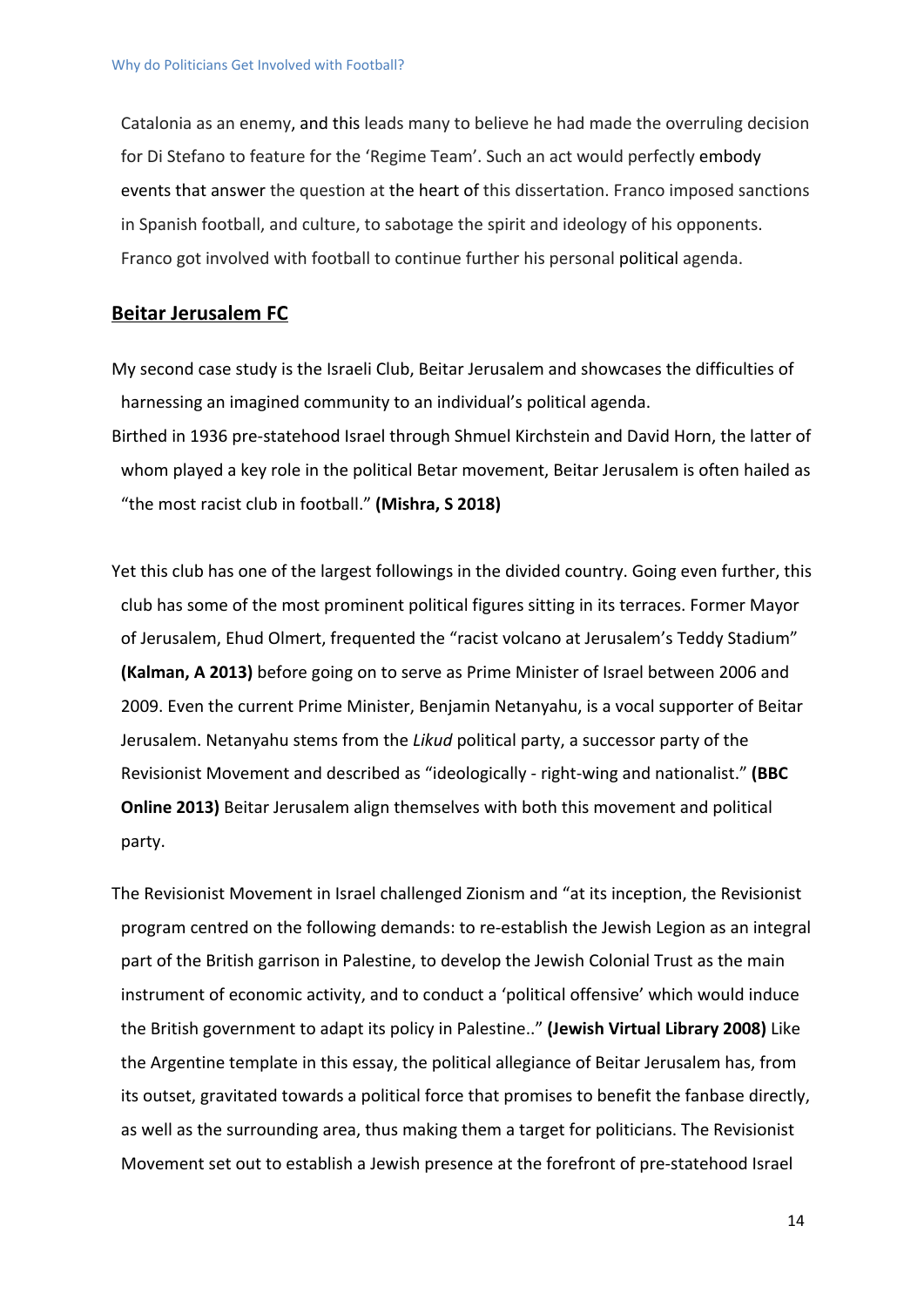Catalonia as an enemy, and this leads many to believe he had made the overruling decision for Di Stefano to feature for the 'Regime Team'. Such an act would perfectly embody events that answer the question at the heart of this dissertation. Franco imposed sanctions in Spanish football, and culture, to sabotage the spirit and ideology of his opponents. Franco got involved with football to continue further his personal political agenda.

#### **Beitar Jerusalem FC**

My second case study is the Israeli Club, Beitar Jerusalem and showcases the difficulties of harnessing an imagined community to an individual's political agenda. Birthed in 1936 pre-statehood Israel through Shmuel Kirchstein and David Horn, the latter of whom played a key role in the political Betar movement, Beitar Jerusalem is often hailed as "the most racist club in football." **(Mishra, S 2018)**

Yet this club has one of the largest followings in the divided country. Going even further, this club has some of the most prominent political figures sitting in its terraces. Former Mayor of Jerusalem, Ehud Olmert, frequented the "racist volcano at Jerusalem's Teddy Stadium" **(Kalman, A 2013)** before going on to serve as Prime Minister of Israel between 2006 and 2009. Even the current Prime Minister, Benjamin Netanyahu, is a vocal supporter of Beitar Jerusalem. Netanyahu stems from the *Likud* political party, a successor party of the Revisionist Movement and described as "ideologically - right-wing and nationalist." **(BBC Online 2013)** Beitar Jerusalem align themselves with both this movement and political party.

The Revisionist Movement in Israel challenged Zionism and "at its inception, the Revisionist program centred on the following demands: to re-establish the Jewish Legion as an integral part of the British garrison in Palestine, to develop the Jewish Colonial Trust as the main instrument of economic activity, and to conduct a 'political offensive' which would induce the British government to adapt its policy in Palestine.." **(Jewish Virtual Library 2008)** Like the Argentine template in this essay, the political allegiance of Beitar Jerusalem has, from its outset, gravitated towards a political force that promises to benefit the fanbase directly, as well as the surrounding area, thus making them a target for politicians. The Revisionist Movement set out to establish a Jewish presence at the forefront of pre-statehood Israel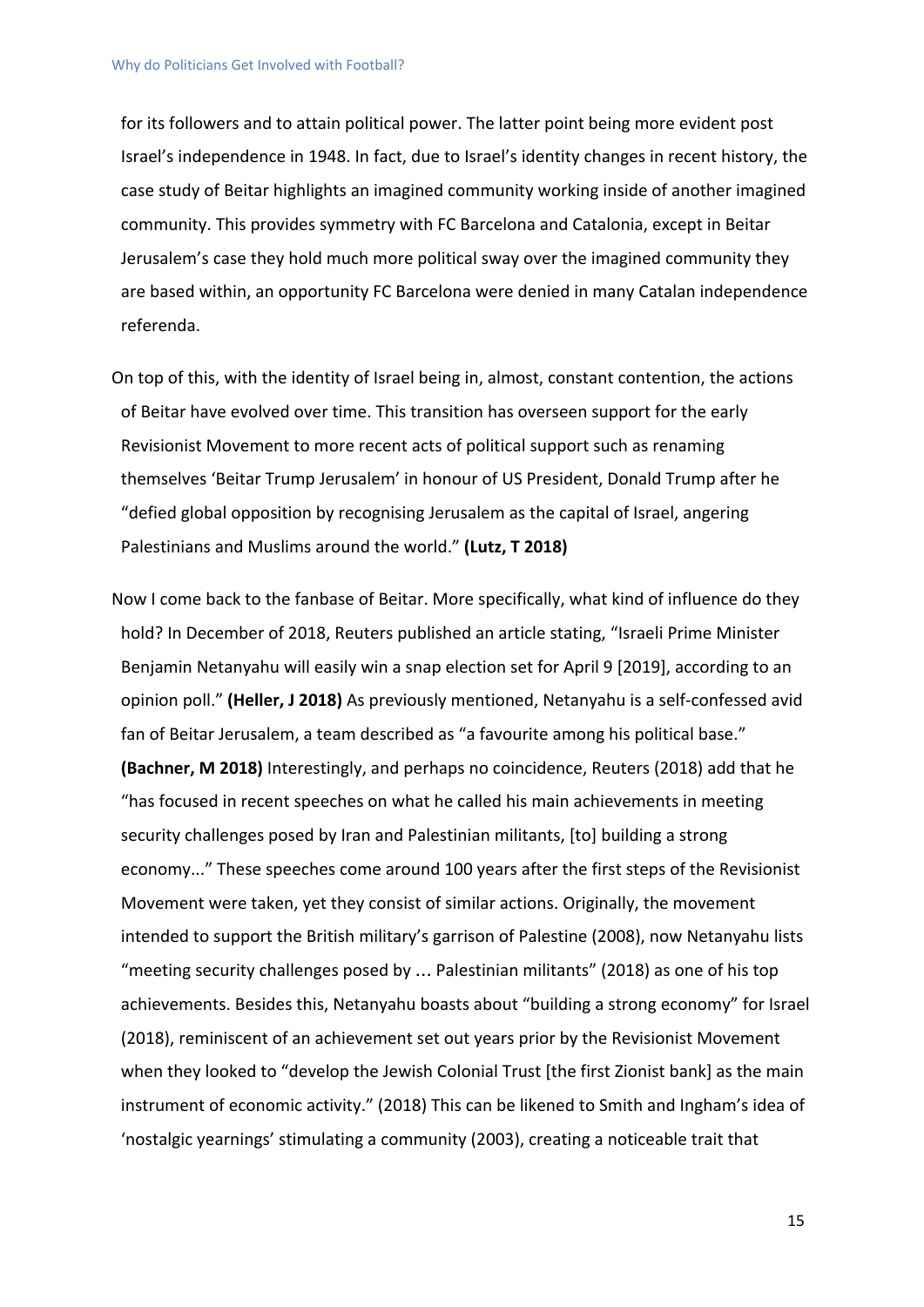for its followers and to attain political power. The latter point being more evident post Israel's independence in 1948. In fact, due to Israel's identity changes in recent history, the case study of Beitar highlights an imagined community working inside of another imagined community. This provides symmetry with FC Barcelona and Catalonia, except in Beitar Jerusalem's case they hold much more political sway over the imagined community they are based within, an opportunity FC Barcelona were denied in many Catalan independence referenda.

- On top of this, with the identity of Israel being in, almost, constant contention, the actions of Beitar have evolved over time. This transition has overseen support for the early Revisionist Movement to more recent acts of political support such as renaming themselves 'Beitar Trump Jerusalem' in honour of US President, Donald Trump after he "defied global opposition by recognising Jerusalem as the capital of Israel, angering Palestinians and Muslims around the world." **(Lutz, T 2018)**
- Now I come back to the fanbase of Beitar. More specifically, what kind of influence do they hold? In December of 2018, Reuters published an article stating, "Israeli Prime Minister Benjamin Netanyahu will easily win a snap election set for April 9 [2019], according to an opinion poll." **(Heller, J 2018)** As previously mentioned, Netanyahu is a self-confessed avid fan of Beitar Jerusalem, a team described as "a favourite among his political base." **(Bachner, M 2018)** Interestingly, and perhaps no coincidence, Reuters (2018) add that he "has focused in recent speeches on what he called his main achievements in meeting security challenges posed by Iran and Palestinian militants, [to] building a strong economy..." These speeches come around 100 years after the first steps of the Revisionist Movement were taken, yet they consist of similar actions. Originally, the movement intended to support the British military's garrison of Palestine (2008), now Netanyahu lists "meeting security challenges posed by … Palestinian militants" (2018) as one of his top achievements. Besides this, Netanyahu boasts about "building a strong economy" for Israel (2018), reminiscent of an achievement set out years prior by the Revisionist Movement when they looked to "develop the Jewish Colonial Trust [the first Zionist bank] as the main instrument of economic activity." (2018) This can be likened to Smith and Ingham's idea of 'nostalgic yearnings' stimulating a community (2003), creating a noticeable trait that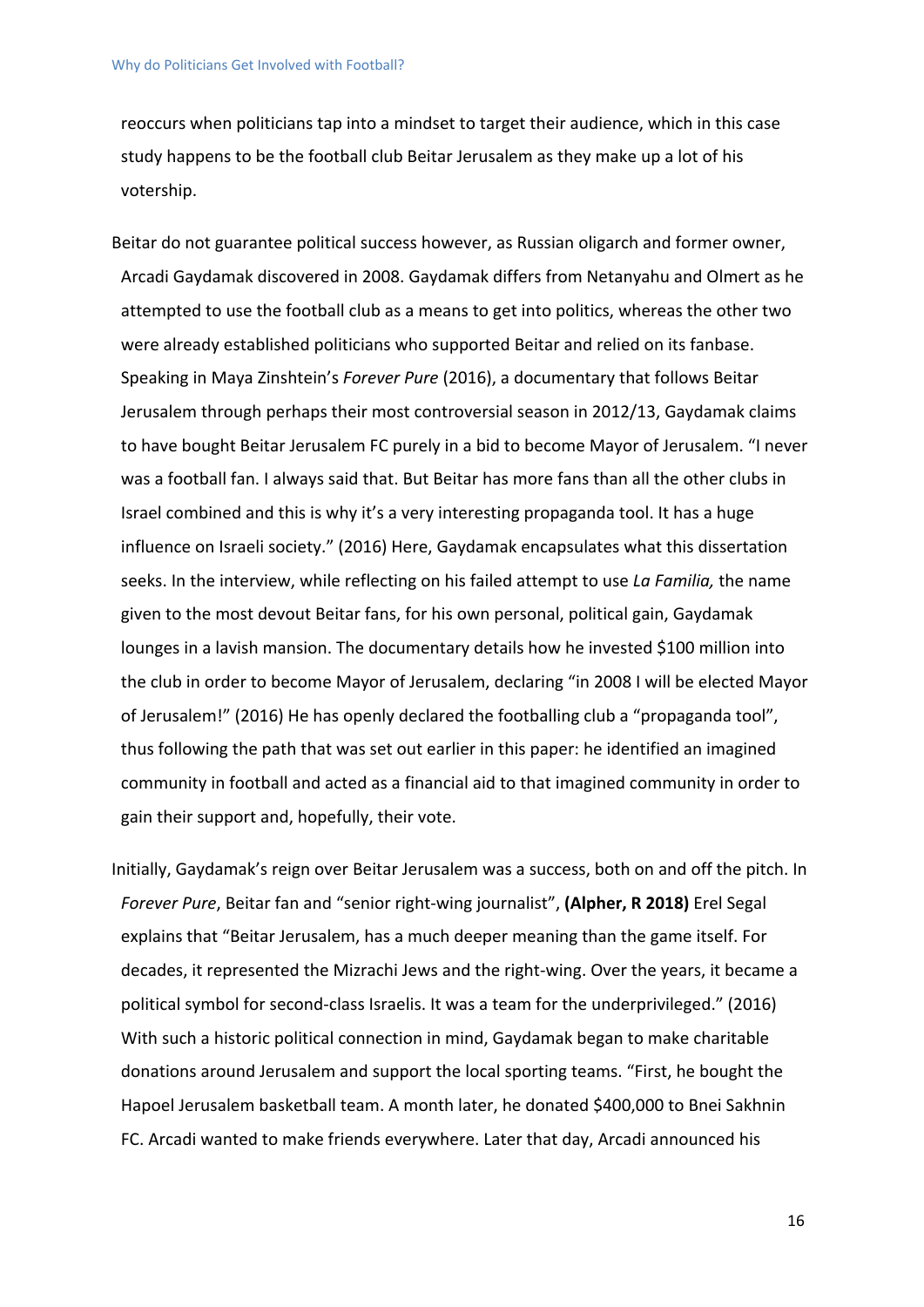reoccurs when politicians tap into a mindset to target their audience, which in this case study happens to be the football club Beitar Jerusalem as they make up a lot of his votership.

Beitar do not guarantee political success however, as Russian oligarch and former owner, Arcadi Gaydamak discovered in 2008. Gaydamak differs from Netanyahu and Olmert as he attempted to use the football club as a means to get into politics, whereas the other two were already established politicians who supported Beitar and relied on its fanbase. Speaking in Maya Zinshtein's *Forever Pure* (2016), a documentary that follows Beitar Jerusalem through perhaps their most controversial season in 2012/13, Gaydamak claims to have bought Beitar Jerusalem FC purely in a bid to become Mayor of Jerusalem. "I never was a football fan. I always said that. But Beitar has more fans than all the other clubs in Israel combined and this is why it's a very interesting propaganda tool. It has a huge influence on Israeli society." (2016) Here, Gaydamak encapsulates what this dissertation seeks. In the interview, while reflecting on his failed attempt to use *La Familia,* the name given to the most devout Beitar fans, for his own personal, political gain, Gaydamak lounges in a lavish mansion. The documentary details how he invested \$100 million into the club in order to become Mayor of Jerusalem, declaring "in 2008 I will be elected Mayor of Jerusalem!" (2016) He has openly declared the footballing club a "propaganda tool", thus following the path that was set out earlier in this paper: he identified an imagined community in football and acted as a financial aid to that imagined community in order to gain their support and, hopefully, their vote.

Initially, Gaydamak's reign over Beitar Jerusalem was a success, both on and off the pitch. In *Forever Pure*, Beitar fan and "senior right-wing journalist", **(Alpher, R 2018)** Erel Segal explains that "Beitar Jerusalem, has a much deeper meaning than the game itself. For decades, it represented the Mizrachi Jews and the right-wing. Over the years, it became a political symbol for second-class Israelis. It was a team for the underprivileged." (2016) With such a historic political connection in mind, Gaydamak began to make charitable donations around Jerusalem and support the local sporting teams. "First, he bought the Hapoel Jerusalem basketball team. A month later, he donated \$400,000 to Bnei Sakhnin FC. Arcadi wanted to make friends everywhere. Later that day, Arcadi announced his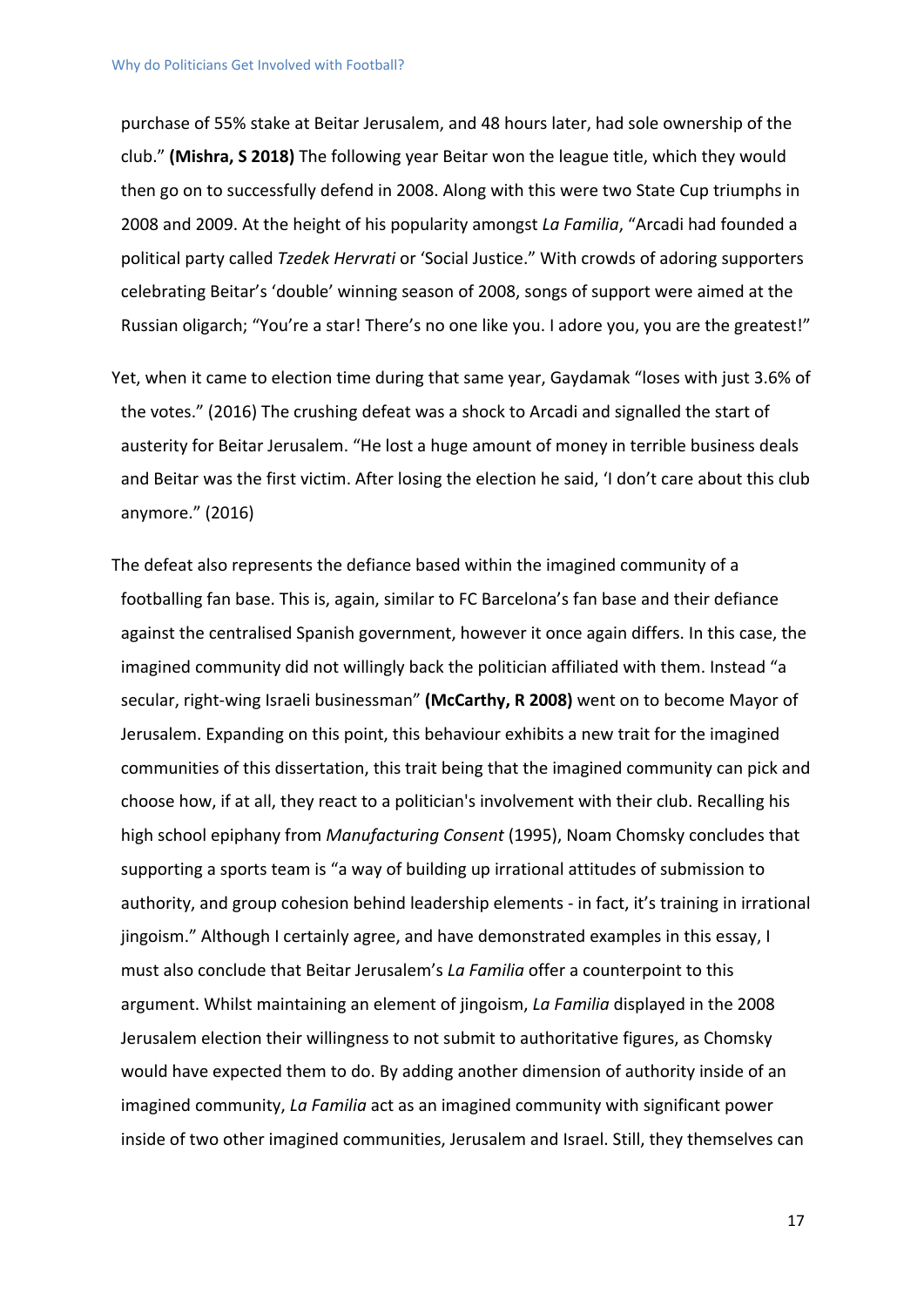purchase of 55% stake at Beitar Jerusalem, and 48 hours later, had sole ownership of the club." **(Mishra, S 2018)** The following year Beitar won the league title, which they would then go on to successfully defend in 2008. Along with this were two State Cup triumphs in 2008 and 2009. At the height of his popularity amongst *La Familia*, "Arcadi had founded a political party called *Tzedek Hervrati* or 'Social Justice." With crowds of adoring supporters celebrating Beitar's 'double' winning season of 2008, songs of support were aimed at the Russian oligarch; "You're a star! There's no one like you. I adore you, you are the greatest!"

- Yet, when it came to election time during that same year, Gaydamak "loses with just 3.6% of the votes." (2016) The crushing defeat was a shock to Arcadi and signalled the start of austerity for Beitar Jerusalem. "He lost a huge amount of money in terrible business deals and Beitar was the first victim. After losing the election he said, 'I don't care about this club anymore." (2016)
- The defeat also represents the defiance based within the imagined community of a footballing fan base. This is, again, similar to FC Barcelona's fan base and their defiance against the centralised Spanish government, however it once again differs. In this case, the imagined community did not willingly back the politician affiliated with them. Instead "a secular, right-wing Israeli businessman" **(McCarthy, R 2008)** went on to become Mayor of Jerusalem. Expanding on this point, this behaviour exhibits a new trait for the imagined communities of this dissertation, this trait being that the imagined community can pick and choose how, if at all, they react to a politician's involvement with their club. Recalling his high school epiphany from *Manufacturing Consent* (1995), Noam Chomsky concludes that supporting a sports team is "a way of building up irrational attitudes of submission to authority, and group cohesion behind leadership elements - in fact, it's training in irrational jingoism." Although I certainly agree, and have demonstrated examples in this essay, I must also conclude that Beitar Jerusalem's *La Familia* offer a counterpoint to this argument. Whilst maintaining an element of jingoism, *La Familia* displayed in the 2008 Jerusalem election their willingness to not submit to authoritative figures, as Chomsky would have expected them to do. By adding another dimension of authority inside of an imagined community, *La Familia* act as an imagined community with significant power inside of two other imagined communities, Jerusalem and Israel. Still, they themselves can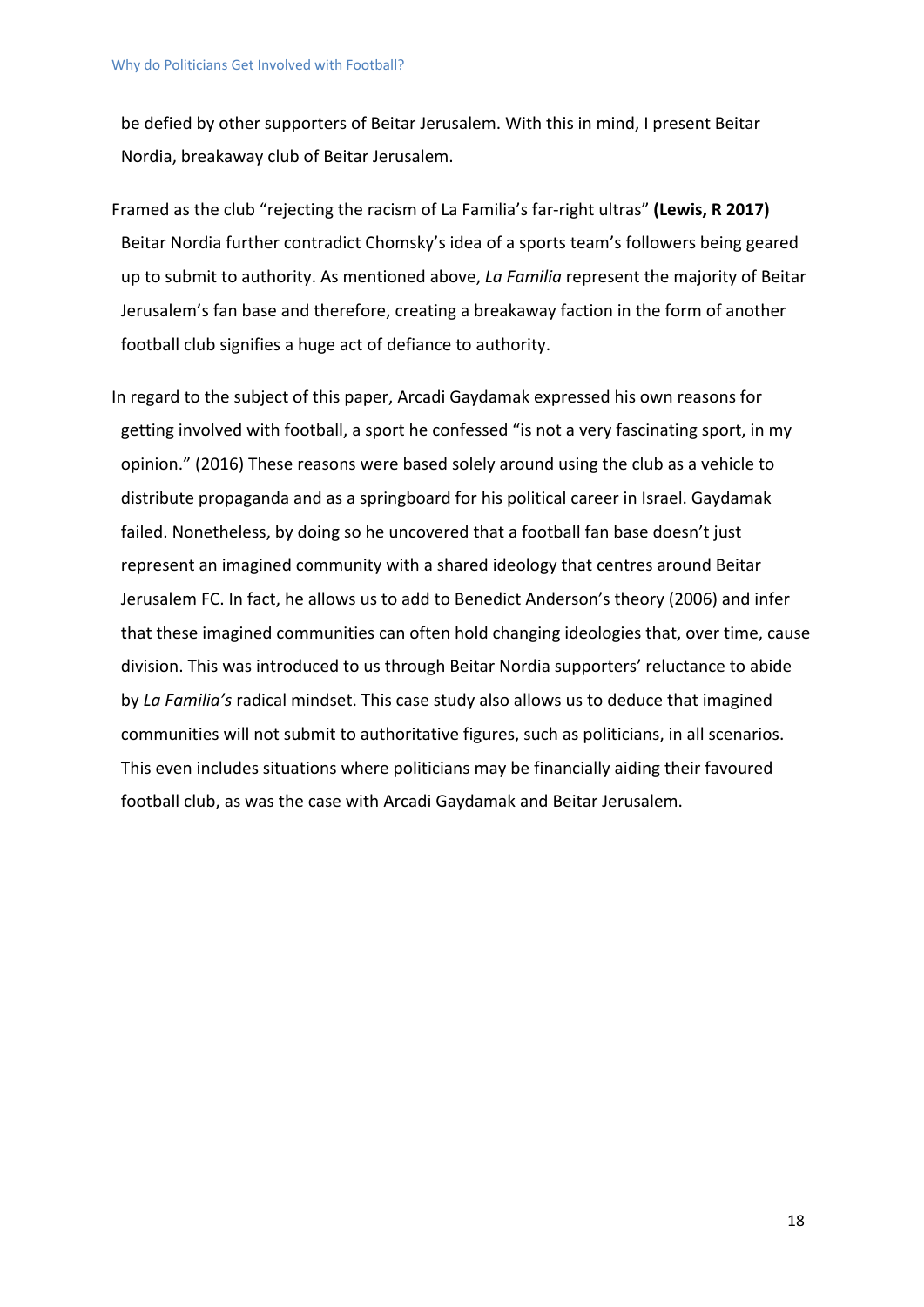be defied by other supporters of Beitar Jerusalem. With this in mind, I present Beitar Nordia, breakaway club of Beitar Jerusalem.

- Framed as the club "rejecting the racism of La Familia's far-right ultras" **(Lewis, R 2017)** Beitar Nordia further contradict Chomsky's idea of a sports team's followers being geared up to submit to authority. As mentioned above, *La Familia* represent the majority of Beitar Jerusalem's fan base and therefore, creating a breakaway faction in the form of another football club signifies a huge act of defiance to authority.
- In regard to the subject of this paper, Arcadi Gaydamak expressed his own reasons for getting involved with football, a sport he confessed "is not a very fascinating sport, in my opinion." (2016) These reasons were based solely around using the club as a vehicle to distribute propaganda and as a springboard for his political career in Israel. Gaydamak failed. Nonetheless, by doing so he uncovered that a football fan base doesn't just represent an imagined community with a shared ideology that centres around Beitar Jerusalem FC. In fact, he allows us to add to Benedict Anderson's theory (2006) and infer that these imagined communities can often hold changing ideologies that, over time, cause division. This was introduced to us through Beitar Nordia supporters' reluctance to abide by *La Familia's* radical mindset. This case study also allows us to deduce that imagined communities will not submit to authoritative figures, such as politicians, in all scenarios. This even includes situations where politicians may be financially aiding their favoured football club, as was the case with Arcadi Gaydamak and Beitar Jerusalem.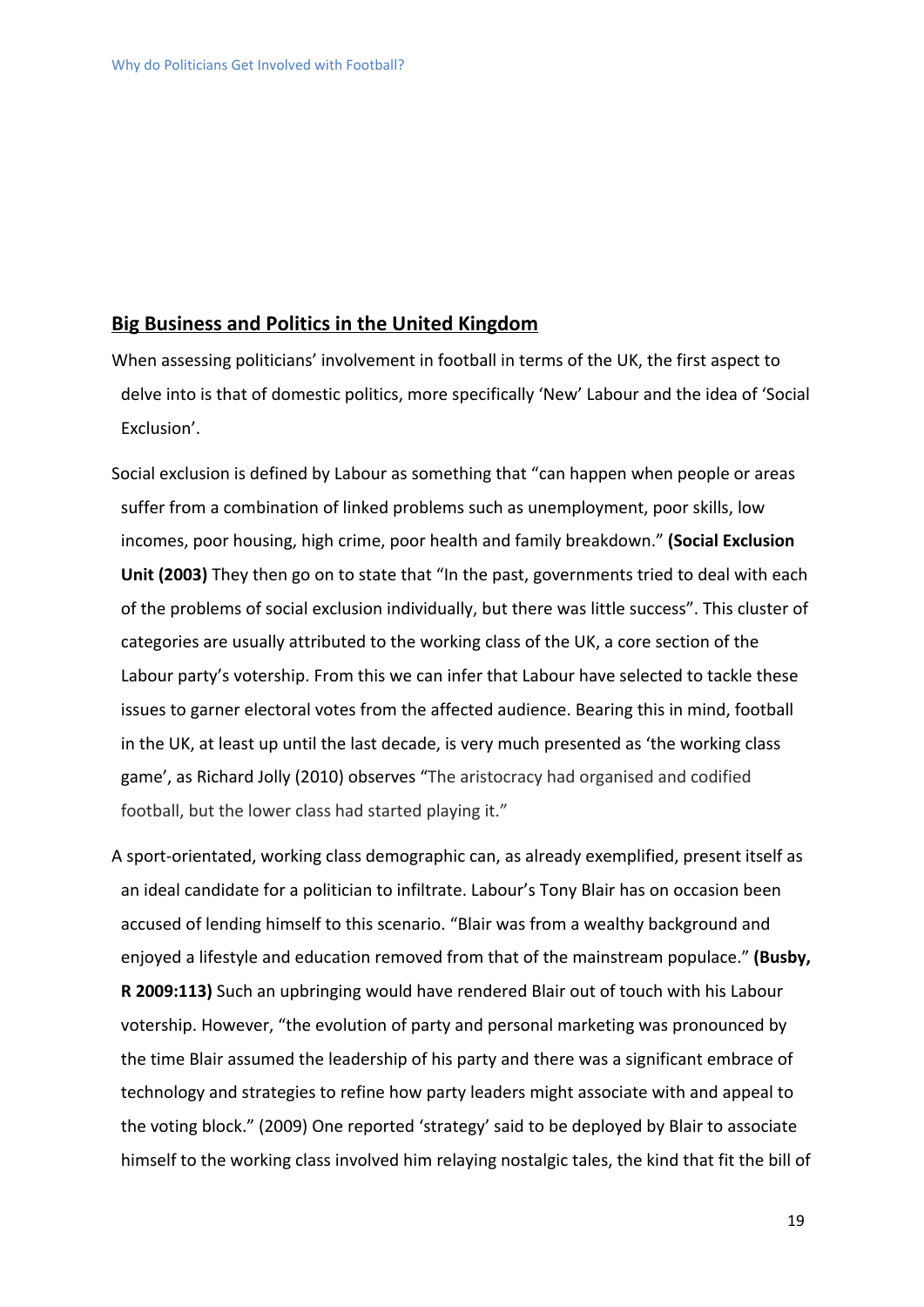#### **Big Business and Politics in the United Kingdom**

- When assessing politicians' involvement in football in terms of the UK, the first aspect to delve into is that of domestic politics, more specifically 'New' Labour and the idea of 'Social Exclusion'.
- Social exclusion is defined by Labour as something that "can happen when people or areas suffer from a combination of linked problems such as unemployment, poor skills, low incomes, poor housing, high crime, poor health and family breakdown." **(Social Exclusion** Unit (2003) They then go on to state that "In the past, governments tried to deal with each of the problems of social exclusion individually, but there was little success". This cluster of categories are usually attributed to the working class of the UK, a core section of the Labour party's votership. From this we can infer that Labour have selected to tackle these issues to garner electoral votes from the affected audience. Bearing this in mind, football in the UK, at least up until the last decade, is very much presented as 'the working class game', as Richard Jolly (2010) observes "The aristocracy had organised and codified football, but the lower class had started playing it."
- A sport-orientated, working class demographic can, as already exemplified, present itself as an ideal candidate for a politician to infiltrate. Labour's Tony Blair has on occasion been accused of lending himself to this scenario. "Blair was from a wealthy background and enjoyed a lifestyle and education removed from that of the mainstream populace." **(Busby, R 2009:113)** Such an upbringing would have rendered Blair out of touch with his Labour votership. However, "the evolution of party and personal marketing was pronounced by the time Blair assumed the leadership of his party and there was a significant embrace of technology and strategies to refine how party leaders might associate with and appeal to the voting block." (2009) One reported 'strategy' said to be deployed by Blair to associate himself to the working class involved him relaying nostalgic tales, the kind that fit the bill of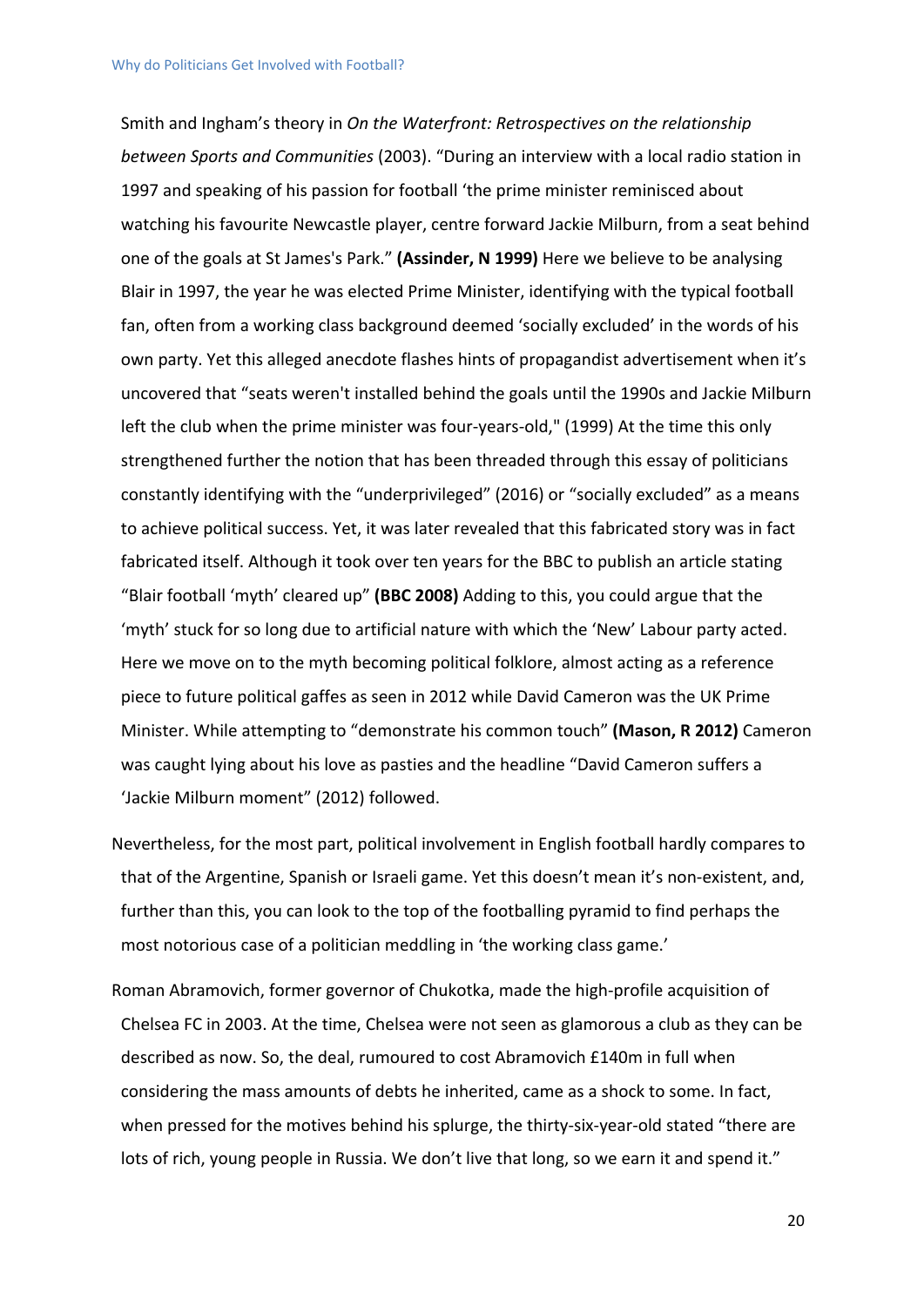Smith and Ingham's theory in *On the Waterfront: Retrospectives on the relationship between Sports and Communities* (2003). "During an interview with a local radio station in 1997 and speaking of his passion for football 'the prime minister reminisced about watching his favourite Newcastle player, centre forward Jackie Milburn, from a seat behind one of the goals at St James's Park." **(Assinder, N 1999)** Here we believe to be analysing Blair in 1997, the year he was elected Prime Minister, identifying with the typical football fan, often from a working class background deemed 'socially excluded' in the words of his own party. Yet this alleged anecdote flashes hints of propagandist advertisement when it's uncovered that "seats weren't installed behind the goals until the 1990s and Jackie Milburn left the club when the prime minister was four-years-old," (1999) At the time this only strengthened further the notion that has been threaded through this essay of politicians constantly identifying with the "underprivileged" (2016) or "socially excluded" as a means to achieve political success. Yet, it was later revealed that this fabricated story was in fact fabricated itself. Although it took over ten years for the BBC to publish an article stating "Blair football 'myth' cleared up" **(BBC 2008)** Adding to this, you could argue that the 'myth' stuck for so long due to artificial nature with which the 'New' Labour party acted. Here we move on to the myth becoming political folklore, almost acting as a reference piece to future political gaffes as seen in 2012 while David Cameron was the UK Prime Minister. While attempting to "demonstrate his common touch" **(Mason, R 2012)** Cameron was caught lying about his love as pasties and the headline "David Cameron suffers a 'Jackie Milburn moment" (2012) followed.

- Nevertheless, for the most part, political involvement in English football hardly compares to that of the Argentine, Spanish or Israeli game. Yet this doesn't mean it's non-existent, and, further than this, you can look to the top of the footballing pyramid to find perhaps the most notorious case of a politician meddling in 'the working class game.'
- Roman Abramovich, former governor of Chukotka, made the high-profile acquisition of Chelsea FC in 2003. At the time, Chelsea were not seen as glamorous a club as they can be described as now. So, the deal, rumoured to cost Abramovich £140m in full when considering the mass amounts of debts he inherited, came as a shock to some. In fact, when pressed for the motives behind his splurge, the thirty-six-year-old stated "there are lots of rich, young people in Russia. We don't live that long, so we earn it and spend it."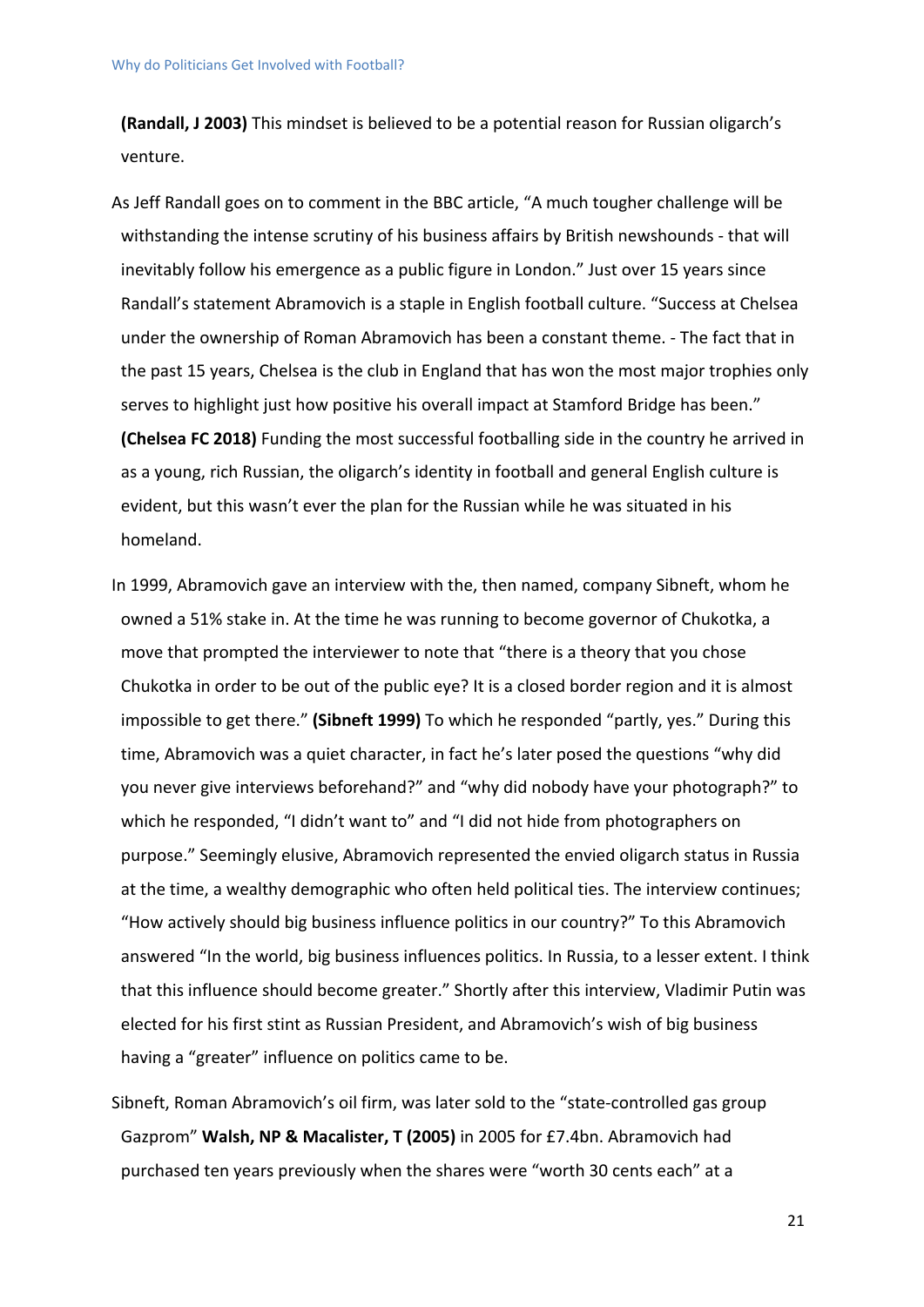**(Randall, J 2003)** This mindset is believed to be a potential reason for Russian oligarch's venture.

- As Jeff Randall goes on to comment in the BBC article, "A much tougher challenge will be withstanding the intense scrutiny of his business affairs by British newshounds - that will inevitably follow his emergence as a public figure in London." Just over 15 years since Randall's statement Abramovich is a staple in English football culture. "Success at Chelsea under the ownership of Roman Abramovich has been a constant theme. - The fact that in the past 15 years, Chelsea is the club in England that has won the most major trophies only serves to highlight just how positive his overall impact at Stamford Bridge has been." **(Chelsea FC 2018)** Funding the most successful footballing side in the country he arrived in as a young, rich Russian, the oligarch's identity in football and general English culture is evident, but this wasn't ever the plan for the Russian while he was situated in his homeland.
- In 1999, Abramovich gave an interview with the, then named, company Sibneft, whom he owned a 51% stake in. At the time he was running to become governor of Chukotka, a move that prompted the interviewer to note that "there is a theory that you chose Chukotka in order to be out of the public eye? It is a closed border region and it is almost impossible to get there." **(Sibneft 1999)** To which he responded "partly, yes." During this time, Abramovich was a quiet character, in fact he's later posed the questions "why did you never give interviews beforehand?" and "why did nobody have your photograph?" to which he responded, "I didn't want to" and "I did not hide from photographers on purpose." Seemingly elusive, Abramovich represented the envied oligarch status in Russia at the time, a wealthy demographic who often held political ties. The interview continues; "How actively should big business influence politics in our country?" To this Abramovich answered "In the world, big business influences politics. In Russia, to a lesser extent. I think that this influence should become greater." Shortly after this interview, Vladimir Putin was elected for his first stint as Russian President, and Abramovich's wish of big business having a "greater" influence on politics came to be.
- Sibneft, Roman Abramovich's oil firm, was later sold to the "state-controlled gas group Gazprom" **Walsh, NP & Macalister, T (2005)** in 2005 for £7.4bn. Abramovich had purchased ten years previously when the shares were "worth 30 cents each" at a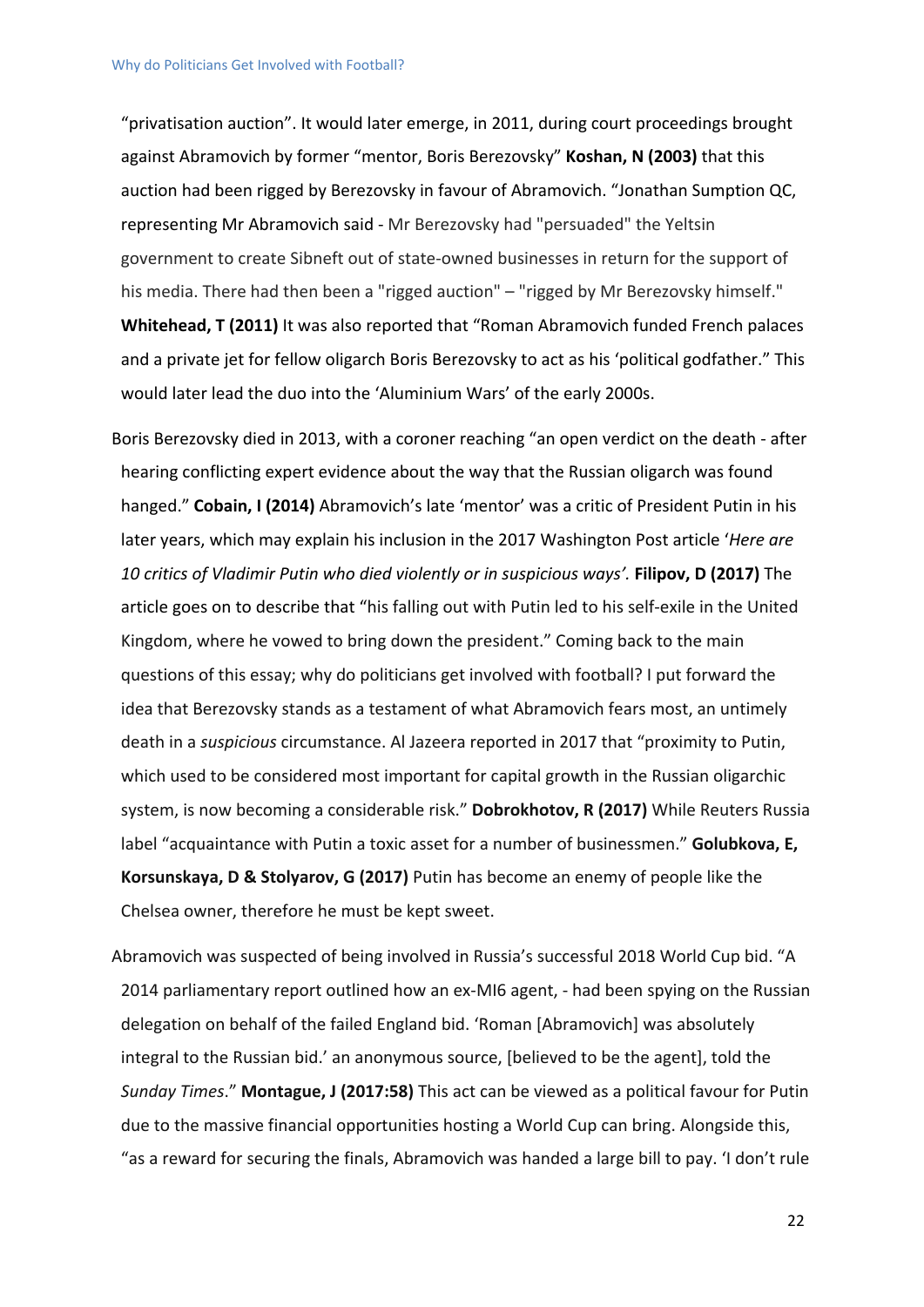"privatisation auction". It would later emerge, in 2011, during court proceedings brought against Abramovich by former "mentor, Boris Berezovsky" **Koshan, N (2003)** that this auction had been rigged by Berezovsky in favour of Abramovich. "Jonathan Sumption QC, representing Mr Abramovich said - Mr Berezovsky had "persuaded" the Yeltsin government to create Sibneft out of state-owned businesses in return for the support of his media. There had then been a "rigged auction" – "rigged by Mr Berezovsky himself." **Whitehead, T (2011)** It was also reported that "Roman Abramovich funded French palaces and a private jet for fellow oligarch Boris Berezovsky to act as his 'political godfather." This would later lead the duo into the 'Aluminium Wars' of the early 2000s.

Boris Berezovsky died in 2013, with a coroner reaching "an open verdict on the death - after hearing conflicting expert evidence about the way that the Russian oligarch was found hanged." **Cobain, I (2014)** Abramovich's late 'mentor' was a critic of President Putin in his later years, which may explain his inclusion in the 2017 Washington Post article '*Here are 10 critics of Vladimir Putin who died violently or in suspicious ways'.* **Filipov, D (2017)** The article goes on to describe that "his falling out with Putin led to his self-exile in the United Kingdom, where he vowed to bring down the president." Coming back to the main questions of this essay; why do politicians get involved with football? I put forward the idea that Berezovsky stands as a testament of what Abramovich fears most, an untimely death in a *suspicious* circumstance. Al Jazeera reported in 2017 that "proximity to Putin, which used to be considered most important for capital growth in the Russian oligarchic system, is now becoming a considerable risk." **Dobrokhotov, R (2017)** While Reuters Russia label "acquaintance with Putin a toxic asset for a number of businessmen." **Golubkova, E, Korsunskaya, D & Stolyarov, G (2017)** Putin has become an enemy of people like the Chelsea owner, therefore he must be kept sweet.

Abramovich was suspected of being involved in Russia's successful 2018 World Cup bid. "A 2014 parliamentary report outlined how an ex-MI6 agent, - had been spying on the Russian delegation on behalf of the failed England bid. 'Roman [Abramovich] was absolutely integral to the Russian bid.' an anonymous source, [believed to be the agent], told the *Sunday Times*." **Montague, J (2017:58)** This act can be viewed as a political favour for Putin due to the massive financial opportunities hosting a World Cup can bring. Alongside this, "as a reward for securing the finals, Abramovich was handed a large bill to pay. 'I don't rule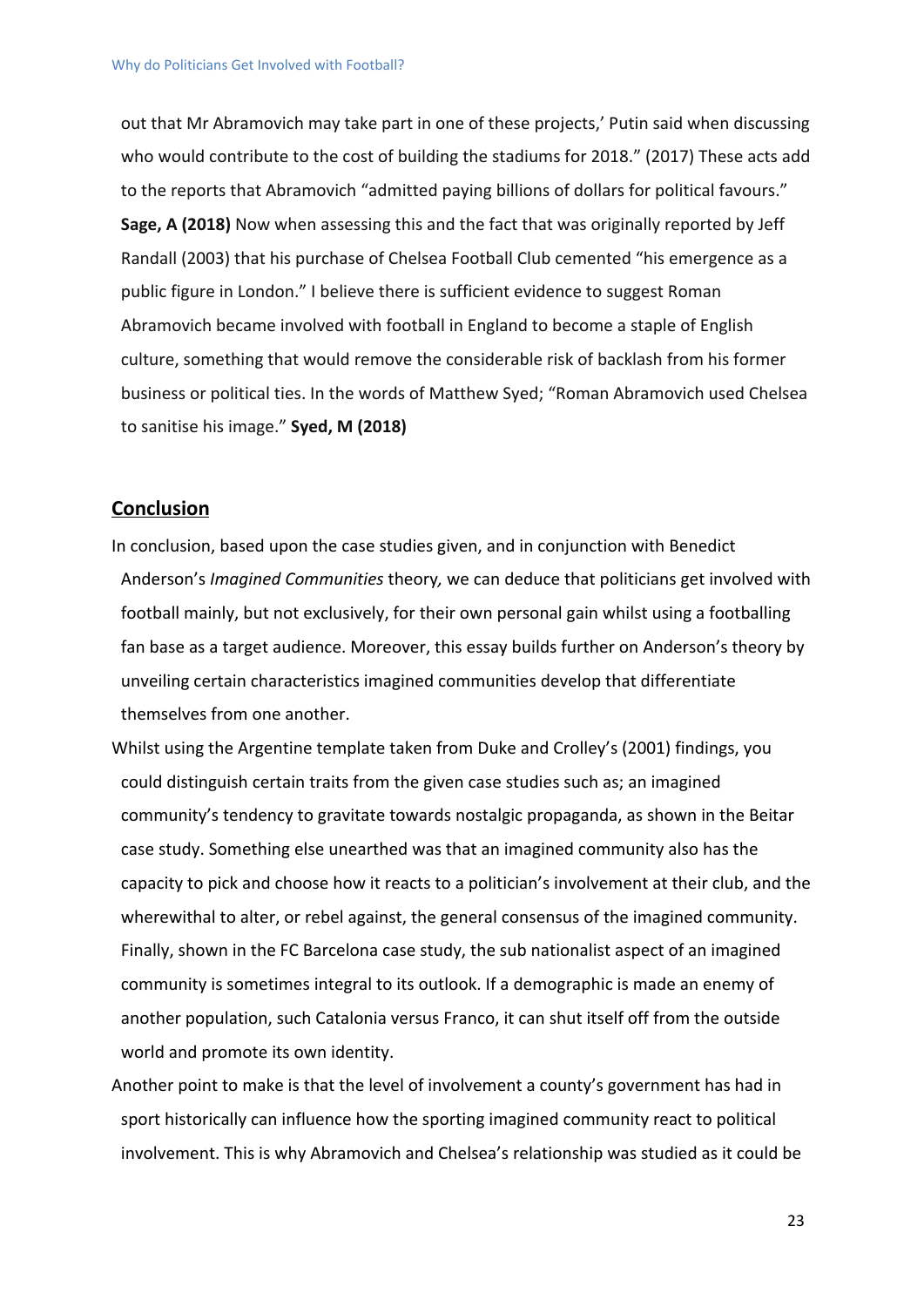out that Mr Abramovich may take part in one of these projects,' Putin said when discussing who would contribute to the cost of building the stadiums for 2018." (2017) These acts add to the reports that Abramovich "admitted paying billions of dollars for political favours." **Sage, A (2018)** Now when assessing this and the fact that was originally reported by Jeff Randall (2003) that his purchase of Chelsea Football Club cemented "his emergence as a public figure in London." I believe there is sufficient evidence to suggest Roman Abramovich became involved with football in England to become a staple of English culture, something that would remove the considerable risk of backlash from his former business or political ties. In the words of Matthew Syed; "Roman Abramovich used Chelsea to sanitise his image." **Syed, M (2018)**

#### <span id="page-22-0"></span>**Conclusion**

- In conclusion, based upon the case studies given, and in conjunction with Benedict Anderson's *Imagined Communities* theory*,* we can deduce that politicians get involved with football mainly, but not exclusively, for their own personal gain whilst using a footballing fan base as a target audience. Moreover, this essay builds further on Anderson's theory by unveiling certain characteristics imagined communities develop that differentiate themselves from one another.
- Whilst using the Argentine template taken from Duke and Crolley's (2001) findings, you could distinguish certain traits from the given case studies such as; an imagined community's tendency to gravitate towards nostalgic propaganda, as shown in the Beitar case study. Something else unearthed was that an imagined community also has the capacity to pick and choose how it reacts to a politician's involvement at their club, and the wherewithal to alter, or rebel against, the general consensus of the imagined community. Finally, shown in the FC Barcelona case study, the sub nationalist aspect of an imagined community is sometimes integral to its outlook. If a demographic is made an enemy of another population, such Catalonia versus Franco, it can shut itself off from the outside world and promote its own identity.
- Another point to make is that the level of involvement a county's government has had in sport historically can influence how the sporting imagined community react to political involvement. This is why Abramovich and Chelsea's relationship was studied as it could be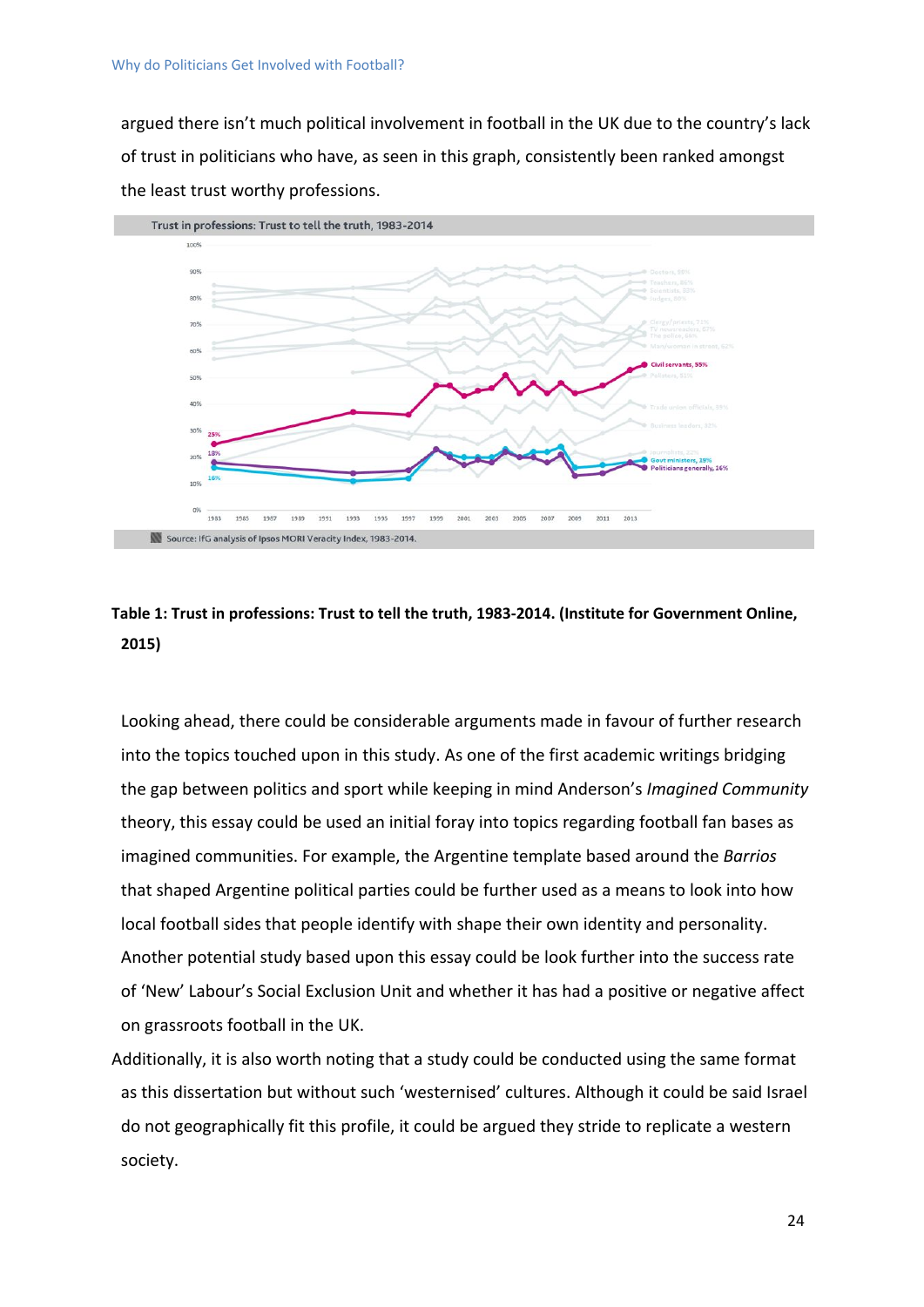argued there isn't much political involvement in football in the UK due to the country's lack of trust in politicians who have, as seen in this graph, consistently been ranked amongst the least trust worthy professions.



### **Table 1: Trust in professions: Trust to tell the truth, 1983-2014. (Institute for Government Online, 2015)**

Looking ahead, there could be considerable arguments made in favour of further research into the topics touched upon in this study. As one of the first academic writings bridging the gap between politics and sport while keeping in mind Anderson's *Imagined Community* theory, this essay could be used an initial foray into topics regarding football fan bases as imagined communities. For example, the Argentine template based around the *Barrios* that shaped Argentine political parties could be further used as a means to look into how local football sides that people identify with shape their own identity and personality. Another potential study based upon this essay could be look further into the success rate of 'New' Labour's Social Exclusion Unit and whether it has had a positive or negative affect on grassroots football in the UK.

Additionally, it is also worth noting that a study could be conducted using the same format as this dissertation but without such 'westernised' cultures. Although it could be said Israel do not geographically fit this profile, it could be argued they stride to replicate a western society.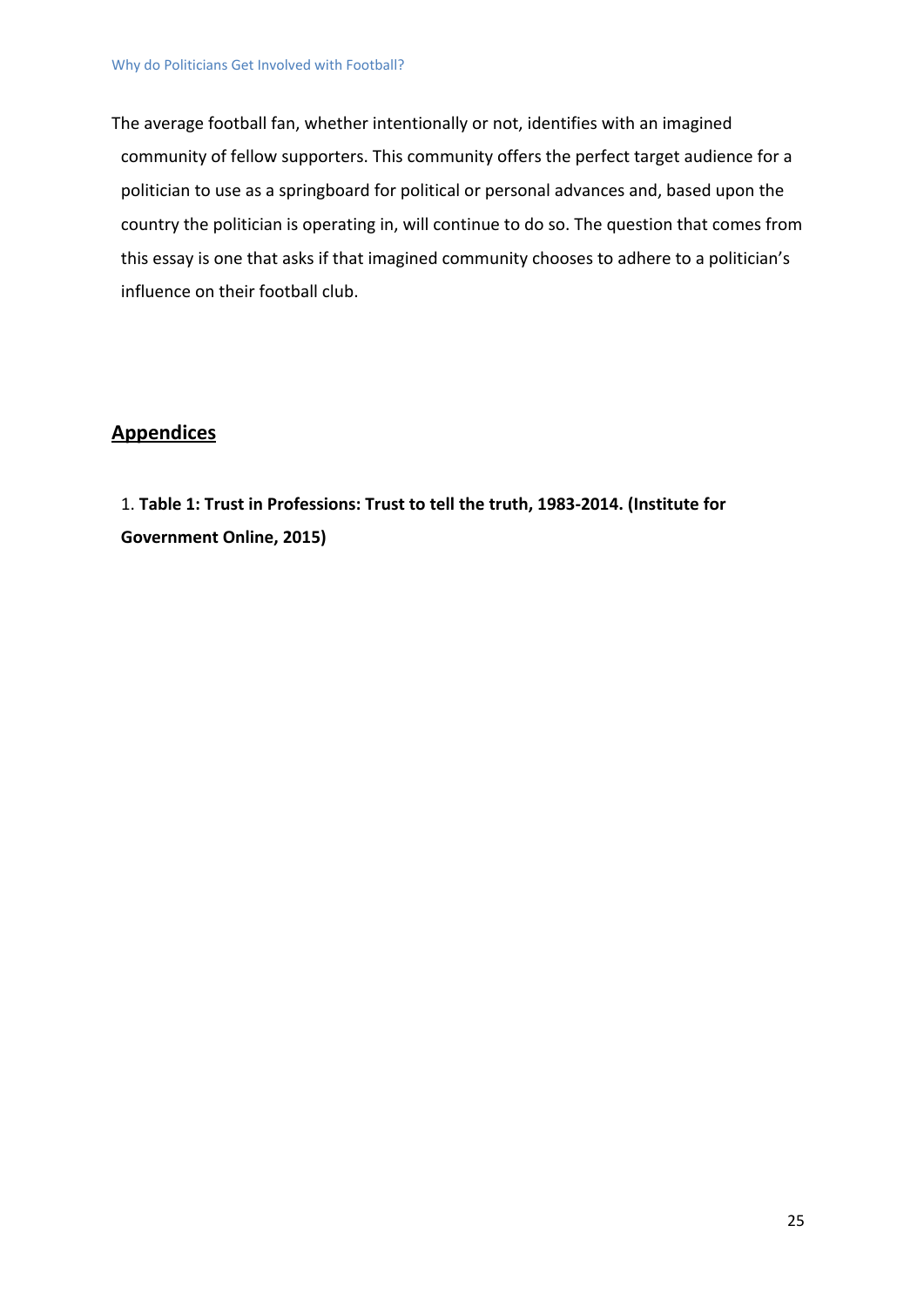The average football fan, whether intentionally or not, identifies with an imagined community of fellow supporters. This community offers the perfect target audience for a politician to use as a springboard for political or personal advances and, based upon the country the politician is operating in, will continue to do so. The question that comes from this essay is one that asks if that imagined community chooses to adhere to a politician's influence on their football club.

#### <span id="page-24-0"></span>**Appendices**

<span id="page-24-1"></span>1. **Table 1: Trust in Professions: Trust to tell the truth, 1983-2014. (Institute for Government Online, 2015)**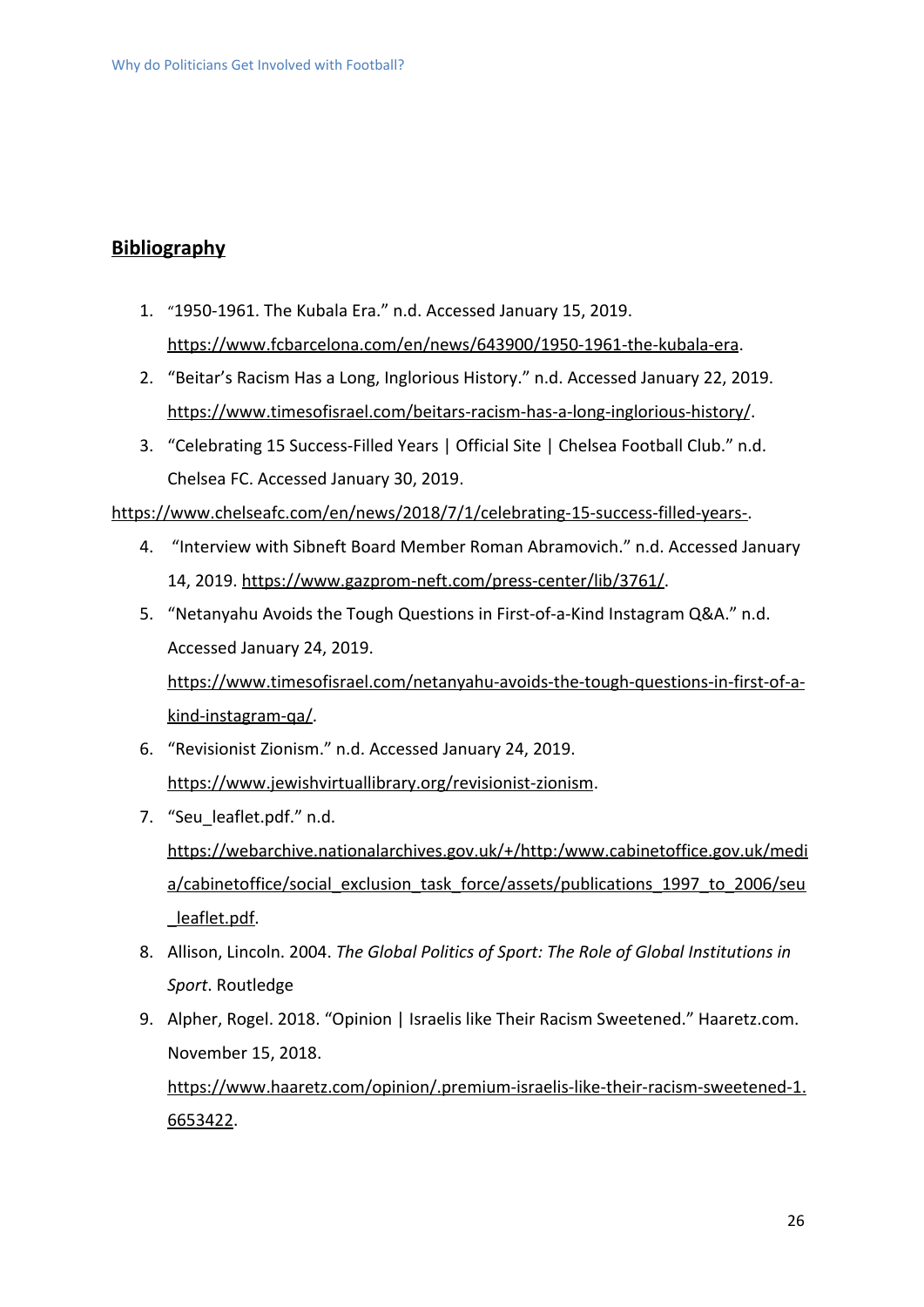### **Bibliography**

- 1. "1950-1961. The Kubala Era." n.d. Accessed January 15, 2019. [https://www.fcbarcelona.com/en/news/643900/1950-1961-the-kubala-era.](https://www.fcbarcelona.com/en/news/643900/1950-1961-the-kubala-era)
- 2. "Beitar's Racism Has a Long, Inglorious History." n.d. Accessed January 22, 2019. <https://www.timesofisrael.com/beitars-racism-has-a-long-inglorious-history/>.
- 3. "Celebrating 15 Success-Filled Years | Official Site | Chelsea Football Club." n.d. Chelsea FC. Accessed January 30, 2019.

[https://www.chelseafc.com/en/news/2018/7/1/celebrating-15-success-filled-years-.](https://www.chelseafc.com/en/news/2018/7/1/celebrating-15-success-filled-years-)

- 4. "Interview with Sibneft Board Member Roman Abramovich." n.d. Accessed January 14, 2019. [https://www.gazprom-neft.com/press-center/lib/3761/.](https://www.gazprom-neft.com/press-center/lib/3761/)
- 5. "Netanyahu Avoids the Tough Questions in First-of-a-Kind Instagram Q&A." n.d. Accessed January 24, 2019. [https://www.timesofisrael.com/netanyahu-avoids-the-tough-questions-in-first-of-a](https://www.timesofisrael.com/netanyahu-avoids-the-tough-questions-in-first-of-a-kind-instagram-qa/)[kind-instagram-qa/.](https://www.timesofisrael.com/netanyahu-avoids-the-tough-questions-in-first-of-a-kind-instagram-qa/)
- 6. "Revisionist Zionism." n.d. Accessed January 24, 2019. <https://www.jewishvirtuallibrary.org/revisionist-zionism>.
- 7. "Seu leaflet.pdf." n.d. [https://webarchive.nationalarchives.gov.uk/+/http:/www.cabinetoffice.gov.uk/medi](https://webarchive.nationalarchives.gov.uk/+/http:/www.cabinetoffice.gov.uk/media/cabinetoffice/social_exclusion_task_force/assets/publications_1997_to_2006/seu_leaflet.pdf) [a/cabinetoffice/social\\_exclusion\\_task\\_force/assets/publications\\_1997\\_to\\_2006/seu](https://webarchive.nationalarchives.gov.uk/+/http:/www.cabinetoffice.gov.uk/media/cabinetoffice/social_exclusion_task_force/assets/publications_1997_to_2006/seu_leaflet.pdf) leaflet.pdf.
- 8. Allison, Lincoln. 2004. *The Global Politics of Sport: The Role of Global Institutions in Sport*. Routledge
- 9. Alpher, Rogel. 2018. "Opinion | Israelis like Their Racism Sweetened." Haaretz.com. November 15, 2018. [https://www.haaretz.com/opinion/.premium-israelis-like-their-racism-sweetened-1.](https://www.haaretz.com/opinion/.premium-israelis-like-their-racism-sweetened-1.6653422) [6653422.](https://www.haaretz.com/opinion/.premium-israelis-like-their-racism-sweetened-1.6653422)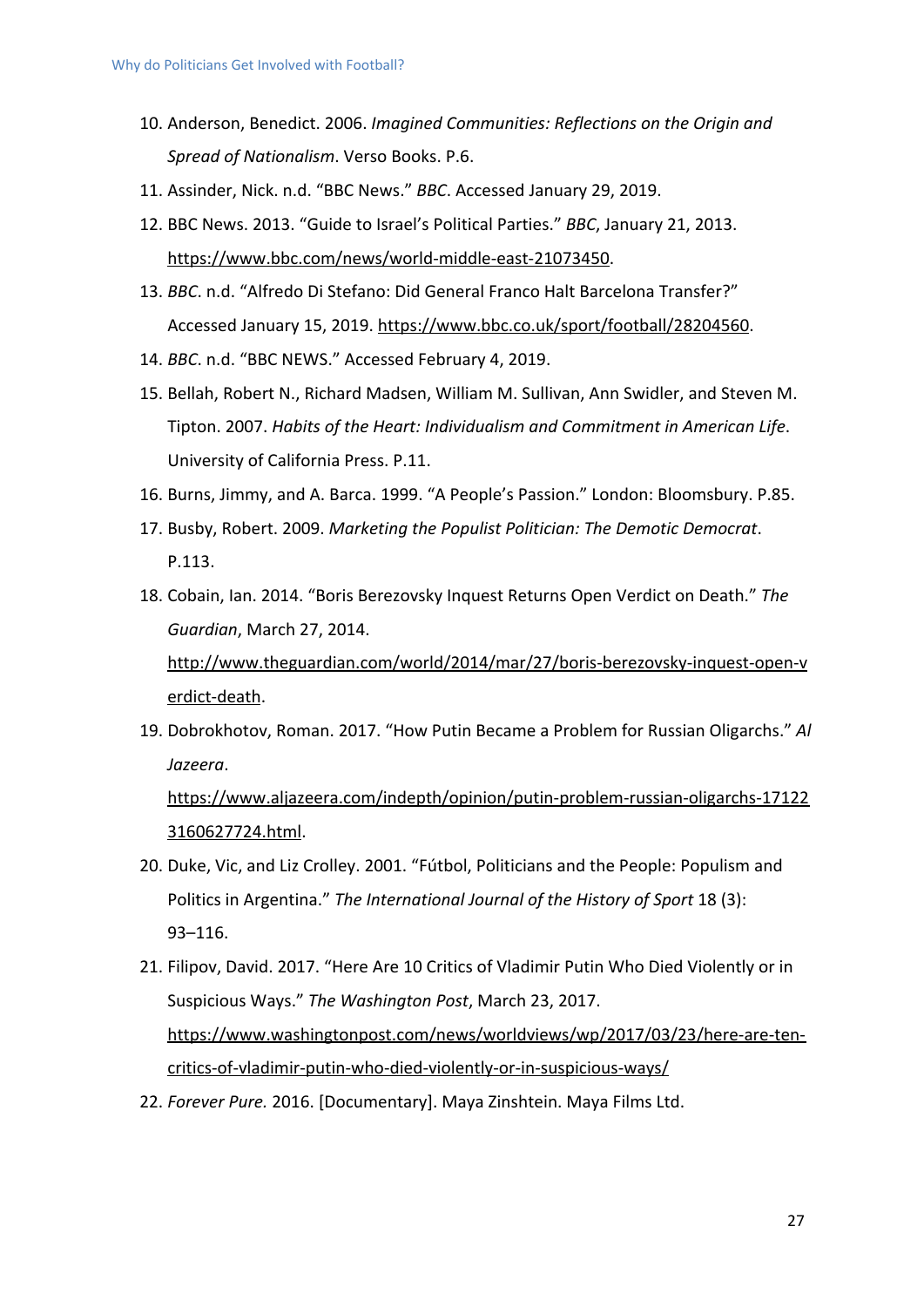- 10. Anderson, Benedict. 2006. *Imagined Communities: Reflections on the Origin and Spread of Nationalism*. Verso Books. P.6.
- 11. Assinder, Nick. n.d. "BBC News." *BBC*. Accessed January 29, 2019.
- 12. BBC News. 2013. "Guide to Israel's Political Parties." *BBC*, January 21, 2013. <https://www.bbc.com/news/world-middle-east-21073450>.
- 13. *BBC*. n.d. "Alfredo Di Stefano: Did General Franco Halt Barcelona Transfer?" Accessed January 15, 2019. <https://www.bbc.co.uk/sport/football/28204560>.
- 14. *BBC*. n.d. "BBC NEWS." Accessed February 4, 2019.
- 15. Bellah, Robert N., Richard Madsen, William M. Sullivan, Ann Swidler, and Steven M. Tipton. 2007. *Habits of the Heart: Individualism and Commitment in American Life*. University of California Press. P.11.
- 16. Burns, Jimmy, and A. Barca. 1999. "A People's Passion." London: Bloomsbury. P.85.
- 17. Busby, Robert. 2009. *Marketing the Populist Politician: The Demotic Democrat*. P.113.
- 18. Cobain, Ian. 2014. "Boris Berezovsky Inquest Returns Open Verdict on Death." *The Guardian*, March 27, 2014.

[http://www.theguardian.com/world/2014/mar/27/boris-berezovsky-inquest-open-v](http://www.theguardian.com/world/2014/mar/27/boris-berezovsky-inquest-open-verdict-death) [erdict-death](http://www.theguardian.com/world/2014/mar/27/boris-berezovsky-inquest-open-verdict-death).

19. Dobrokhotov, Roman. 2017. "How Putin Became a Problem for Russian Oligarchs." *Al Jazeera*.

[https://www.aljazeera.com/indepth/opinion/putin-problem-russian-oligarchs-17122](https://www.aljazeera.com/indepth/opinion/putin-problem-russian-oligarchs-171223160627724.html) [3160627724.html](https://www.aljazeera.com/indepth/opinion/putin-problem-russian-oligarchs-171223160627724.html).

- 20. Duke, Vic, and Liz Crolley. 2001. "Fútbol, Politicians and the People: Populism and Politics in Argentina." *The International Journal of the History of Sport* 18 (3): 93–116.
- 21. Filipov, David. 2017. "Here Are 10 Critics of Vladimir Putin Who Died Violently or in Suspicious Ways." *The Washington Post*, March 23, 2017. [https://www.washingtonpost.com/news/worldviews/wp/2017/03/23/here-are-ten](https://www.washingtonpost.com/news/worldviews/wp/2017/03/23/here-are-ten-critics-of-vladimir-putin-who-died-violently-or-in-suspicious-ways/)[critics-of-vladimir-putin-who-died-violently-or-in-suspicious-ways/](https://www.washingtonpost.com/news/worldviews/wp/2017/03/23/here-are-ten-critics-of-vladimir-putin-who-died-violently-or-in-suspicious-ways/)
- 22. *Forever Pure.* 2016. [Documentary]. Maya Zinshtein. Maya Films Ltd.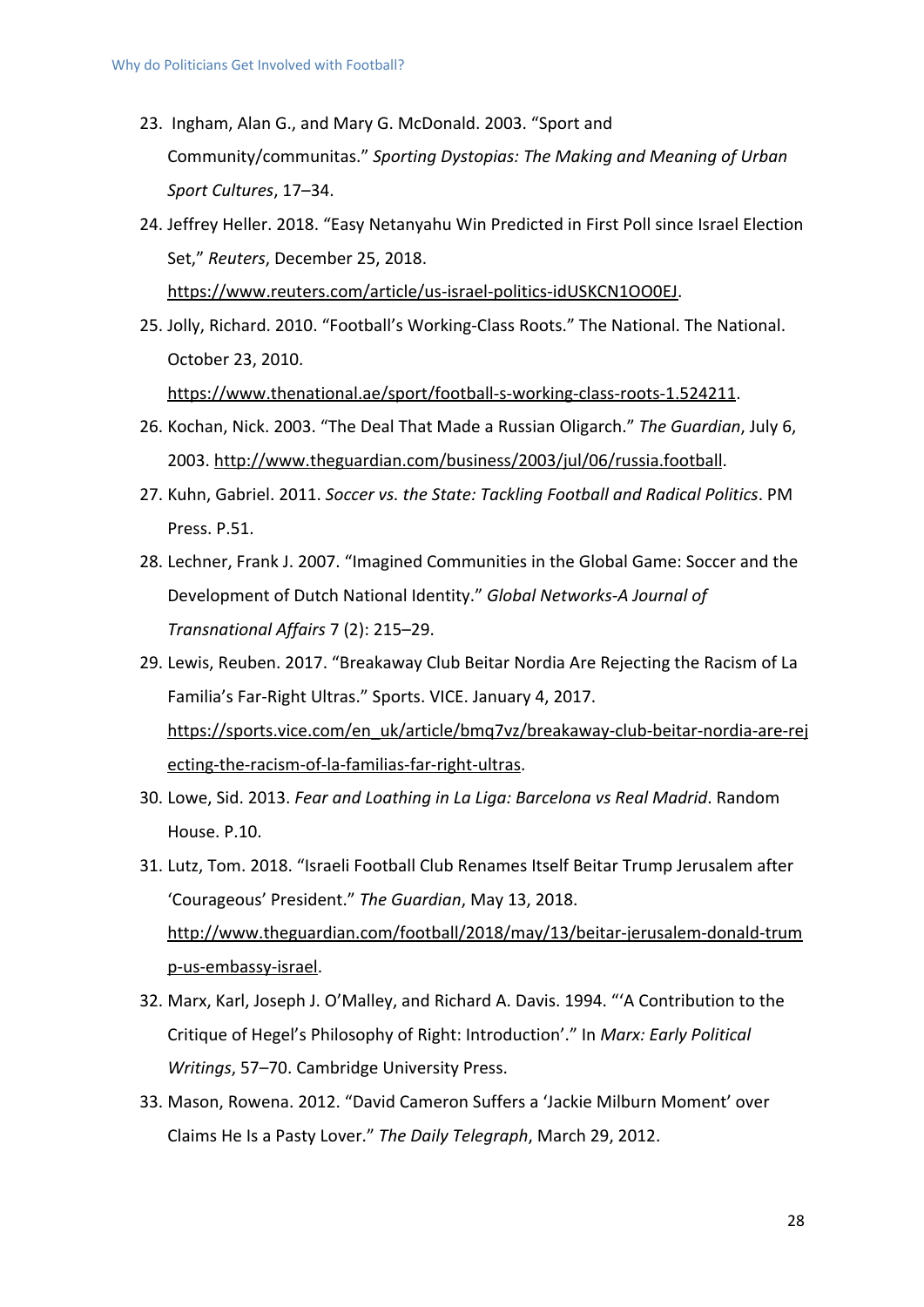- 23. Ingham, Alan G., and Mary G. McDonald. 2003. "Sport and Community/communitas." *Sporting Dystopias: The Making and Meaning of Urban Sport Cultures*, 17–34.
- 24. Jeffrey Heller. 2018. "Easy Netanyahu Win Predicted in First Poll since Israel Election Set," *Reuters*, December 25, 2018.

[https://www.reuters.com/article/us-israel-politics-idUSKCN1OO0EJ.](https://www.reuters.com/article/us-israel-politics-idUSKCN1OO0EJ)

- 25. Jolly, Richard. 2010. "Football's Working-Class Roots." The National. The National. October 23, 2010. <https://www.thenational.ae/sport/football-s-working-class-roots-1.524211>.
- 26. Kochan, Nick. 2003. "The Deal That Made a Russian Oligarch." *The Guardian*, July 6, 2003.<http://www.theguardian.com/business/2003/jul/06/russia.football>.
- 27. Kuhn, Gabriel. 2011. *Soccer vs. the State: Tackling Football and Radical Politics*. PM Press. P.51.
- 28. Lechner, Frank J. 2007. "Imagined Communities in the Global Game: Soccer and the Development of Dutch National Identity." *Global Networks-A Journal of Transnational Affairs* 7 (2): 215–29.
- 29. Lewis, Reuben. 2017. "Breakaway Club Beitar Nordia Are Rejecting the Racism of La Familia's Far-Right Ultras." Sports. VICE. January 4, 2017. [https://sports.vice.com/en\\_uk/article/bmq7vz/breakaway-club-beitar-nordia-are-rej](https://sports.vice.com/en_uk/article/bmq7vz/breakaway-club-beitar-nordia-are-rejecting-the-racism-of-la-familias-far-right-ultras) [ecting-the-racism-of-la-familias-far-right-ultras](https://sports.vice.com/en_uk/article/bmq7vz/breakaway-club-beitar-nordia-are-rejecting-the-racism-of-la-familias-far-right-ultras).
- 30. Lowe, Sid. 2013. *Fear and Loathing in La Liga: Barcelona vs Real Madrid*. Random House. P.10.
- 31. Lutz, Tom. 2018. "Israeli Football Club Renames Itself Beitar Trump Jerusalem after 'Courageous' President." *The Guardian*, May 13, 2018. [http://www.theguardian.com/football/2018/may/13/beitar-jerusalem-donald-trum](http://www.theguardian.com/football/2018/may/13/beitar-jerusalem-donald-trump-us-embassy-israel) [p-us-embassy-israel](http://www.theguardian.com/football/2018/may/13/beitar-jerusalem-donald-trump-us-embassy-israel).
- 32. Marx, Karl, Joseph J. O'Malley, and Richard A. Davis. 1994. "'A Contribution to the Critique of Hegel's Philosophy of Right: Introduction'." In *Marx: Early Political Writings*, 57–70. Cambridge University Press.
- 33. Mason, Rowena. 2012. "David Cameron Suffers a 'Jackie Milburn Moment' over Claims He Is a Pasty Lover." *The Daily Telegraph*, March 29, 2012.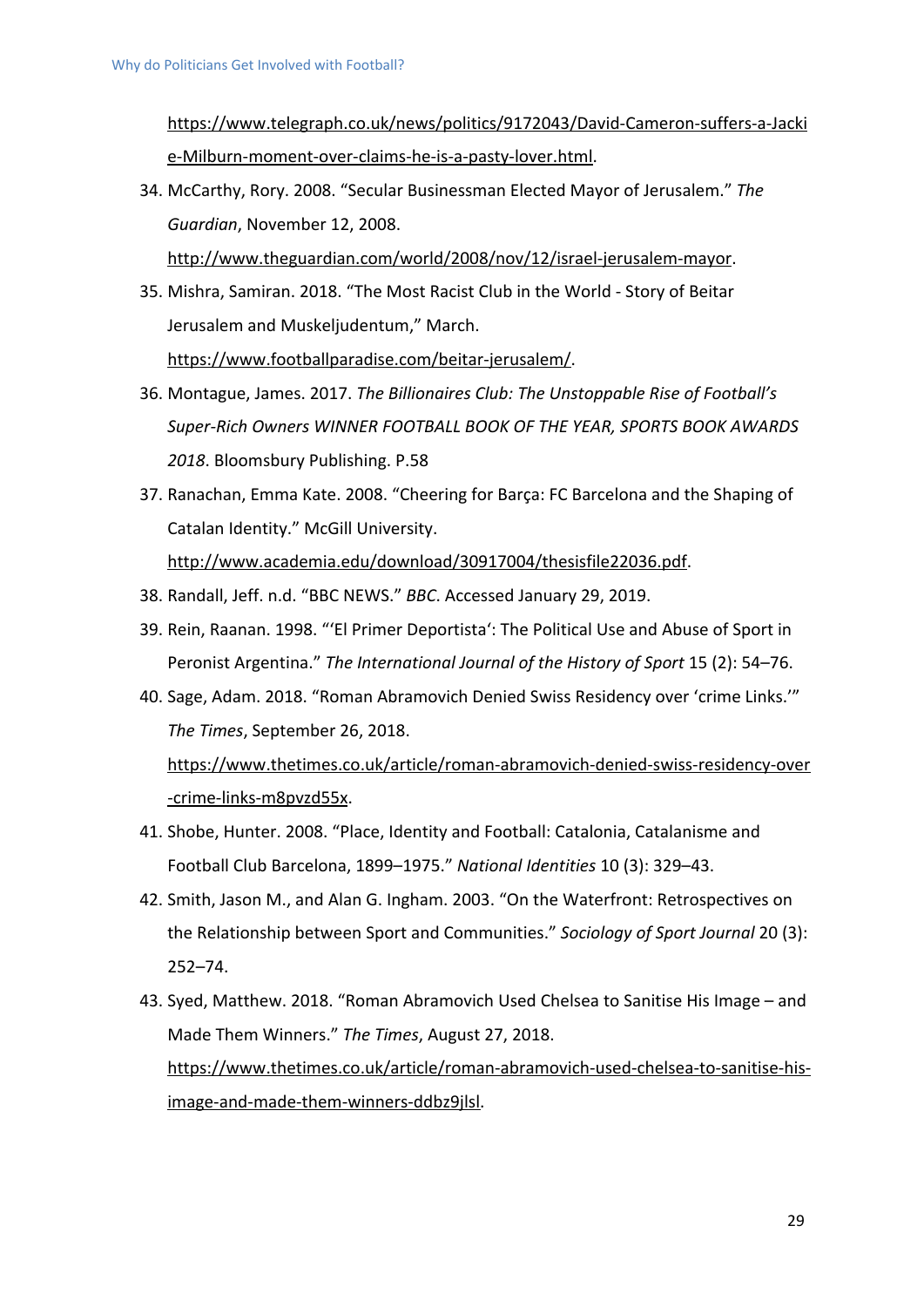[https://www.telegraph.co.uk/news/politics/9172043/David-Cameron-suffers-a-Jacki](https://www.telegraph.co.uk/news/politics/9172043/David-Cameron-suffers-a-Jackie-Milburn-moment-over-claims-he-is-a-pasty-lover.html) [e-Milburn-moment-over-claims-he-is-a-pasty-lover.html.](https://www.telegraph.co.uk/news/politics/9172043/David-Cameron-suffers-a-Jackie-Milburn-moment-over-claims-he-is-a-pasty-lover.html)

34. McCarthy, Rory. 2008. "Secular Businessman Elected Mayor of Jerusalem." *The Guardian*, November 12, 2008.

<http://www.theguardian.com/world/2008/nov/12/israel-jerusalem-mayor>.

- 35. Mishra, Samiran. 2018. "The Most Racist Club in the World Story of Beitar Jerusalem and Muskeljudentum," March. [https://www.footballparadise.com/beitar-jerusalem/.](https://www.footballparadise.com/beitar-jerusalem/)
- 36. Montague, James. 2017. *The Billionaires Club: The Unstoppable Rise of Football's Super-Rich Owners WINNER FOOTBALL BOOK OF THE YEAR, SPORTS BOOK AWARDS 2018*. Bloomsbury Publishing. P.58
- 37. Ranachan, Emma Kate. 2008. "Cheering for Barça: FC Barcelona and the Shaping of Catalan Identity." McGill University.

[http://www.academia.edu/download/30917004/thesisfile22036.pdf.](http://www.academia.edu/download/30917004/thesisfile22036.pdf)

- 38. Randall, Jeff. n.d. "BBC NEWS." *BBC*. Accessed January 29, 2019.
- 39. Rein, Raanan. 1998. "'El Primer Deportista': The Political Use and Abuse of Sport in Peronist Argentina." *The International Journal of the History of Sport* 15 (2): 54–76.
- 40. Sage, Adam. 2018. "Roman Abramovich Denied Swiss Residency over 'crime Links.'" *The Times*, September 26, 2018.

[https://www.thetimes.co.uk/article/roman-abramovich-denied-swiss-residency-over](https://www.thetimes.co.uk/article/roman-abramovich-denied-swiss-residency-over-crime-links-m8pvzd55x) [-crime-links-m8pvzd55x](https://www.thetimes.co.uk/article/roman-abramovich-denied-swiss-residency-over-crime-links-m8pvzd55x).

- 41. Shobe, Hunter. 2008. "Place, Identity and Football: Catalonia, Catalanisme and Football Club Barcelona, 1899–1975." *National Identities* 10 (3): 329–43.
- 42. Smith, Jason M., and Alan G. Ingham. 2003. "On the Waterfront: Retrospectives on the Relationship between Sport and Communities." *Sociology of Sport Journal* 20 (3): 252–74.
- 43. Syed, Matthew. 2018. "Roman Abramovich Used Chelsea to Sanitise His Image and Made Them Winners." *The Times*, August 27, 2018. [https://www.thetimes.co.uk/article/roman-abramovich-used-chelsea-to-sanitise-his](https://www.thetimes.co.uk/article/roman-abramovich-used-chelsea-to-sanitise-his-image-and-made-them-winners-ddbz9jlsl)[image-and-made-them-winners-ddbz9jlsl.](https://www.thetimes.co.uk/article/roman-abramovich-used-chelsea-to-sanitise-his-image-and-made-them-winners-ddbz9jlsl)